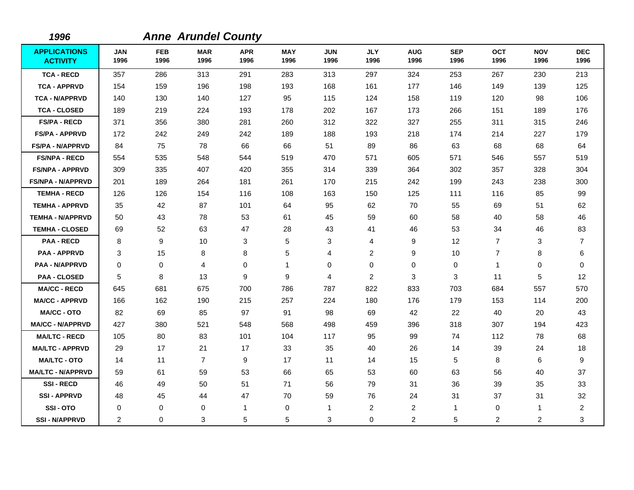| 1996                                   |                    |                    | <b>Anne Arundel County</b> |                    |                    |                    |                    |                    |                    |                    |                    |                    |
|----------------------------------------|--------------------|--------------------|----------------------------|--------------------|--------------------|--------------------|--------------------|--------------------|--------------------|--------------------|--------------------|--------------------|
| <b>APPLICATIONS</b><br><b>ACTIVITY</b> | <b>JAN</b><br>1996 | <b>FEB</b><br>1996 | <b>MAR</b><br>1996         | <b>APR</b><br>1996 | <b>MAY</b><br>1996 | <b>JUN</b><br>1996 | <b>JLY</b><br>1996 | <b>AUG</b><br>1996 | <b>SEP</b><br>1996 | <b>OCT</b><br>1996 | <b>NOV</b><br>1996 | <b>DEC</b><br>1996 |
| <b>TCA - RECD</b>                      | 357                | 286                | 313                        | 291                | 283                | 313                | 297                | 324                | 253                | 267                | 230                | 213                |
| <b>TCA - APPRVD</b>                    | 154                | 159                | 196                        | 198                | 193                | 168                | 161                | 177                | 146                | 149                | 139                | 125                |
| <b>TCA - N/APPRVD</b>                  | 140                | 130                | 140                        | 127                | 95                 | 115                | 124                | 158                | 119                | 120                | 98                 | 106                |
| <b>TCA - CLOSED</b>                    | 189                | 219                | 224                        | 193                | 178                | 202                | 167                | 173                | 266                | 151                | 189                | 176                |
| <b>FS/PA - RECD</b>                    | 371                | 356                | 380                        | 281                | 260                | 312                | 322                | 327                | 255                | 311                | 315                | 246                |
| <b>FS/PA - APPRVD</b>                  | 172                | 242                | 249                        | 242                | 189                | 188                | 193                | 218                | 174                | 214                | 227                | 179                |
| <b>FS/PA - N/APPRVD</b>                | 84                 | 75                 | 78                         | 66                 | 66                 | 51                 | 89                 | 86                 | 63                 | 68                 | 68                 | 64                 |
| <b>FS/NPA - RECD</b>                   | 554                | 535                | 548                        | 544                | 519                | 470                | 571                | 605                | 571                | 546                | 557                | 519                |
| <b>FS/NPA - APPRVD</b>                 | 309                | 335                | 407                        | 420                | 355                | 314                | 339                | 364                | 302                | 357                | 328                | 304                |
| <b>FS/NPA - N/APPRVD</b>               | 201                | 189                | 264                        | 181                | 261                | 170                | 215                | 242                | 199                | 243                | 238                | 300                |
| <b>TEMHA - RECD</b>                    | 126                | 126                | 154                        | 116                | 108                | 163                | 150                | 125                | 111                | 116                | 85                 | 99                 |
| <b>TEMHA - APPRVD</b>                  | 35                 | 42                 | 87                         | 101                | 64                 | 95                 | 62                 | 70                 | 55                 | 69                 | 51                 | 62                 |
| <b>TEMHA - N/APPRVD</b>                | 50                 | 43                 | 78                         | 53                 | 61                 | 45                 | 59                 | 60                 | 58                 | 40                 | 58                 | 46                 |
| <b>TEMHA - CLOSED</b>                  | 69                 | 52                 | 63                         | 47                 | 28                 | 43                 | 41                 | 46                 | 53                 | 34                 | 46                 | 83                 |
| <b>PAA - RECD</b>                      | 8                  | 9                  | 10                         | 3                  | 5                  | 3                  | 4                  | 9                  | 12                 | $\overline{7}$     | 3                  | 7                  |
| <b>PAA - APPRVD</b>                    | 3                  | 15                 | 8                          | 8                  | 5                  | 4                  | $\overline{c}$     | 9                  | 10                 | $\overline{7}$     | 8                  | 6                  |
| <b>PAA - N/APPRVD</b>                  | 0                  | 0                  | 4                          | 0                  | $\mathbf{1}$       | 0                  | 0                  | 0                  | 0                  | $\mathbf{1}$       | $\pmb{0}$          | 0                  |
| <b>PAA - CLOSED</b>                    | 5                  | 8                  | 13                         | 9                  | 9                  | 4                  | $\overline{2}$     | 3                  | 3                  | 11                 | 5                  | 12                 |
| <b>MA/CC - RECD</b>                    | 645                | 681                | 675                        | 700                | 786                | 787                | 822                | 833                | 703                | 684                | 557                | 570                |
| <b>MA/CC - APPRVD</b>                  | 166                | 162                | 190                        | 215                | 257                | 224                | 180                | 176                | 179                | 153                | 114                | 200                |
| <b>MA/CC - OTO</b>                     | 82                 | 69                 | 85                         | 97                 | 91                 | 98                 | 69                 | 42                 | 22                 | 40                 | 20                 | 43                 |
| <b>MA/CC - N/APPRVD</b>                | 427                | 380                | 521                        | 548                | 568                | 498                | 459                | 396                | 318                | 307                | 194                | 423                |
| <b>MA/LTC - RECD</b>                   | 105                | 80                 | 83                         | 101                | 104                | 117                | 95                 | 99                 | 74                 | 112                | 78                 | 68                 |
| <b>MA/LTC - APPRVD</b>                 | 29                 | 17                 | 21                         | 17                 | 33                 | 35                 | 40                 | 26                 | 14                 | 39                 | 24                 | 18                 |
| <b>MA/LTC - OTO</b>                    | 14                 | 11                 | $\overline{7}$             | 9                  | 17                 | 11                 | 14                 | 15                 | $\sqrt{5}$         | 8                  | 6                  | 9                  |
| <b>MA/LTC - N/APPRVD</b>               | 59                 | 61                 | 59                         | 53                 | 66                 | 65                 | 53                 | 60                 | 63                 | 56                 | 40                 | 37                 |
| <b>SSI-RECD</b>                        | 46                 | 49                 | 50                         | 51                 | 71                 | 56                 | 79                 | 31                 | 36                 | 39                 | 35                 | 33                 |
| <b>SSI-APPRVD</b>                      | 48                 | 45                 | 44                         | 47                 | 70                 | 59                 | 76                 | 24                 | 31                 | 37                 | 31                 | 32                 |
| SSI-OTO                                | 0                  | 0                  | 0                          | 1                  | 0                  | $\mathbf{1}$       | 2                  | $\overline{c}$     | $\mathbf{1}$       | 0                  | $\mathbf{1}$       | $\overline{c}$     |
| <b>SSI - N/APPRVD</b>                  | 2                  | 0                  | 3                          | 5                  | 5                  | 3                  | 0                  | 2                  | 5                  | 2                  | 2                  | 3                  |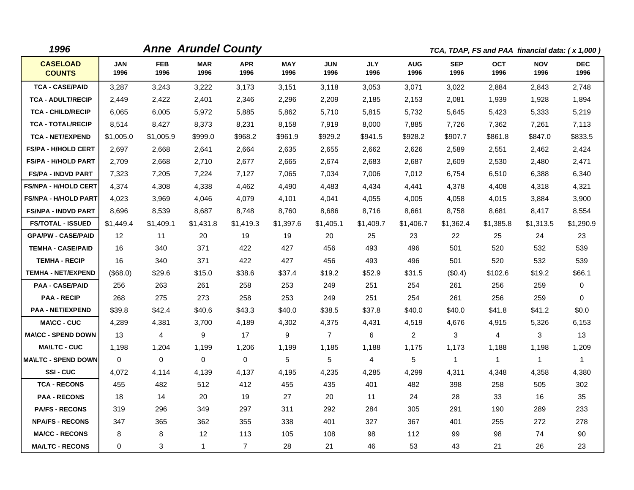| 1996                             |                    |                    | <b>Anne Arundel County</b> |                    |                    |                    |                    |                    |                    |                    | TCA, TDAP, FS and PAA financial data: (x 1,000) |                    |
|----------------------------------|--------------------|--------------------|----------------------------|--------------------|--------------------|--------------------|--------------------|--------------------|--------------------|--------------------|-------------------------------------------------|--------------------|
| <b>CASELOAD</b><br><b>COUNTS</b> | <b>JAN</b><br>1996 | <b>FEB</b><br>1996 | <b>MAR</b><br>1996         | <b>APR</b><br>1996 | <b>MAY</b><br>1996 | <b>JUN</b><br>1996 | <b>JLY</b><br>1996 | <b>AUG</b><br>1996 | <b>SEP</b><br>1996 | <b>OCT</b><br>1996 | <b>NOV</b><br>1996                              | <b>DEC</b><br>1996 |
| <b>TCA - CASE/PAID</b>           | 3,287              | 3,243              | 3,222                      | 3,173              | 3,151              | 3.118              | 3,053              | 3,071              | 3.022              | 2,884              | 2,843                                           | 2.748              |
| <b>TCA - ADULT/RECIP</b>         | 2,449              | 2,422              | 2.401                      | 2,346              | 2,296              | 2.209              | 2,185              | 2,153              | 2.081              | 1.939              | 1,928                                           | 1,894              |
| <b>TCA - CHILD/RECIP</b>         | 6,065              | 6,005              | 5,972                      | 5,885              | 5,862              | 5,710              | 5,815              | 5,732              | 5,645              | 5,423              | 5,333                                           | 5,219              |
| <b>TCA - TOTAL/RECIP</b>         | 8,514              | 8,427              | 8,373                      | 8,231              | 8,158              | 7,919              | 8,000              | 7,885              | 7,726              | 7,362              | 7,261                                           | 7,113              |
| <b>TCA - NET/EXPEND</b>          | \$1,005.0          | \$1,005.9          | \$999.0                    | \$968.2            | \$961.9            | \$929.2            | \$941.5            | \$928.2            | \$907.7            | \$861.8            | \$847.0                                         | \$833.5            |
| FS/PA - H/HOLD CERT              | 2,697              | 2,668              | 2,641                      | 2,664              | 2,635              | 2,655              | 2,662              | 2,626              | 2,589              | 2,551              | 2,462                                           | 2,424              |
| <b>FS/PA - H/HOLD PART</b>       | 2,709              | 2,668              | 2,710                      | 2,677              | 2,665              | 2,674              | 2,683              | 2,687              | 2,609              | 2,530              | 2,480                                           | 2,471              |
| <b>FS/PA - INDVD PART</b>        | 7,323              | 7,205              | 7,224                      | 7,127              | 7,065              | 7,034              | 7,006              | 7,012              | 6,754              | 6,510              | 6,388                                           | 6,340              |
| <b>FS/NPA - H/HOLD CERT</b>      | 4,374              | 4,308              | 4,338                      | 4,462              | 4,490              | 4,483              | 4,434              | 4,441              | 4,378              | 4,408              | 4,318                                           | 4,321              |
| <b>FS/NPA - H/HOLD PART</b>      | 4,023              | 3,969              | 4,046                      | 4,079              | 4,101              | 4,041              | 4,055              | 4,005              | 4,058              | 4,015              | 3,884                                           | 3,900              |
| <b>FS/NPA - INDVD PART</b>       | 8,696              | 8,539              | 8,687                      | 8,748              | 8,760              | 8,686              | 8,716              | 8,661              | 8,758              | 8,681              | 8,417                                           | 8,554              |
| <b>FS/TOTAL - ISSUED</b>         | \$1,449.4          | \$1,409.1          | \$1,431.8                  | \$1,419.3          | \$1,397.6          | \$1,405.1          | \$1,409.7          | \$1,406.7          | \$1,362.4          | \$1,385.8          | \$1,313.5                                       | \$1,290.9          |
| <b>GPA/PW - CASE/PAID</b>        | 12                 | 11                 | 20                         | 19                 | 19                 | 20                 | 25                 | 23                 | 22                 | 25                 | 24                                              | 23                 |
| <b>TEMHA - CASE/PAID</b>         | 16                 | 340                | 371                        | 422                | 427                | 456                | 493                | 496                | 501                | 520                | 532                                             | 539                |
| <b>TEMHA - RECIP</b>             | 16                 | 340                | 371                        | 422                | 427                | 456                | 493                | 496                | 501                | 520                | 532                                             | 539                |
| <b>TEMHA - NET/EXPEND</b>        | (\$68.0)           | \$29.6             | \$15.0                     | \$38.6             | \$37.4             | \$19.2             | \$52.9             | \$31.5             | (\$0.4)            | \$102.6            | \$19.2                                          | \$66.1             |
| <b>PAA - CASE/PAID</b>           | 256                | 263                | 261                        | 258                | 253                | 249                | 251                | 254                | 261                | 256                | 259                                             | 0                  |
| <b>PAA - RECIP</b>               | 268                | 275                | 273                        | 258                | 253                | 249                | 251                | 254                | 261                | 256                | 259                                             | $\Omega$           |
| <b>PAA - NET/EXPEND</b>          | \$39.8             | \$42.4             | \$40.6                     | \$43.3             | \$40.0             | \$38.5             | \$37.8             | \$40.0             | \$40.0             | \$41.8             | \$41.2                                          | \$0.0              |
| <b>MA\CC - CUC</b>               | 4,289              | 4,381              | 3,700                      | 4,189              | 4,302              | 4,375              | 4,431              | 4,519              | 4,676              | 4,915              | 5,326                                           | 6,153              |
| <b>MA\CC - SPEND DOWN</b>        | 13                 | 4                  | 9                          | 17                 | 9                  | $\overline{7}$     | 6                  | 2                  | 3                  | 4                  | 3                                               | 13                 |
| <b>MA\LTC - CUC</b>              | 1,198              | 1,204              | 1.199                      | 1,206              | 1,199              | 1,185              | 1,188              | 1,175              | 1,173              | 1,188              | 1,198                                           | 1,209              |
| <b>MA\LTC - SPEND DOWN</b>       | $\mathbf{0}$       | $\mathbf 0$        | $\mathbf 0$                | $\mathbf 0$        | 5                  | 5                  | 4                  | 5                  | $\mathbf 1$        | $\mathbf{1}$       | $\mathbf{1}$                                    | $\mathbf{1}$       |
| <b>SSI-CUC</b>                   | 4,072              | 4,114              | 4,139                      | 4,137              | 4,195              | 4,235              | 4,285              | 4,299              | 4,311              | 4,348              | 4,358                                           | 4,380              |
| <b>TCA - RECONS</b>              | 455                | 482                | 512                        | 412                | 455                | 435                | 401                | 482                | 398                | 258                | 505                                             | 302                |
| <b>PAA - RECONS</b>              | 18                 | 14                 | 20                         | 19                 | 27                 | 20                 | 11                 | 24                 | 28                 | 33                 | 16                                              | 35                 |
| <b>PA/FS - RECONS</b>            | 319                | 296                | 349                        | 297                | 311                | 292                | 284                | 305                | 291                | 190                | 289                                             | 233                |
| <b>NPA/FS - RECONS</b>           | 347                | 365                | 362                        | 355                | 338                | 401                | 327                | 367                | 401                | 255                | 272                                             | 278                |
| <b>MA/CC - RECONS</b>            | 8                  | 8                  | $12 \overline{ }$          | 113                | 105                | 108                | 98                 | 112                | 99                 | 98                 | 74                                              | 90                 |
| <b>MA/LTC - RECONS</b>           | $\Omega$           | $\mathbf{3}$       | $\mathbf{1}$               | $\overline{7}$     | 28                 | 21                 | 46                 | 53                 | 43                 | 21                 | 26                                              | 23                 |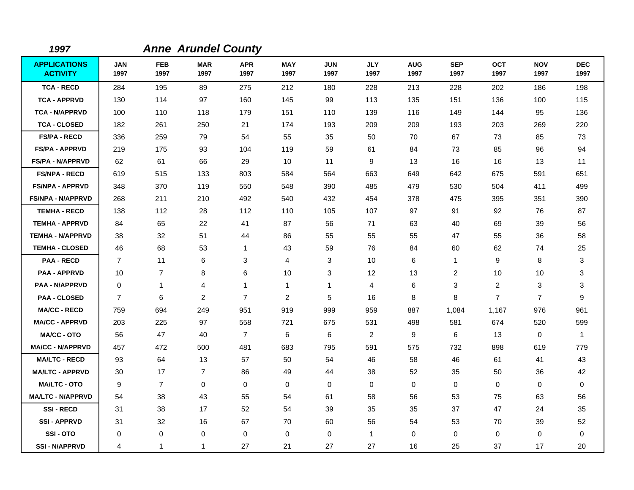| 1997                                   |                    |                    | <b>Anne Arundel County</b> |                    |                    |                    |                    |                    |                    |                    |                    |                    |
|----------------------------------------|--------------------|--------------------|----------------------------|--------------------|--------------------|--------------------|--------------------|--------------------|--------------------|--------------------|--------------------|--------------------|
| <b>APPLICATIONS</b><br><b>ACTIVITY</b> | <b>JAN</b><br>1997 | <b>FEB</b><br>1997 | <b>MAR</b><br>1997         | <b>APR</b><br>1997 | <b>MAY</b><br>1997 | <b>JUN</b><br>1997 | <b>JLY</b><br>1997 | <b>AUG</b><br>1997 | <b>SEP</b><br>1997 | <b>OCT</b><br>1997 | <b>NOV</b><br>1997 | <b>DEC</b><br>1997 |
| <b>TCA - RECD</b>                      | 284                | 195                | 89                         | 275                | 212                | 180                | 228                | 213                | 228                | 202                | 186                | 198                |
| <b>TCA - APPRVD</b>                    | 130                | 114                | 97                         | 160                | 145                | 99                 | 113                | 135                | 151                | 136                | 100                | 115                |
| <b>TCA - N/APPRVD</b>                  | 100                | 110                | 118                        | 179                | 151                | 110                | 139                | 116                | 149                | 144                | 95                 | 136                |
| <b>TCA - CLOSED</b>                    | 182                | 261                | 250                        | 21                 | 174                | 193                | 209                | 209                | 193                | 203                | 269                | 220                |
| <b>FS/PA - RECD</b>                    | 336                | 259                | 79                         | 54                 | 55                 | 35                 | 50                 | 70                 | 67                 | 73                 | 85                 | 73                 |
| <b>FS/PA - APPRVD</b>                  | 219                | 175                | 93                         | 104                | 119                | 59                 | 61                 | 84                 | 73                 | 85                 | 96                 | 94                 |
| <b>FS/PA - N/APPRVD</b>                | 62                 | 61                 | 66                         | 29                 | 10                 | 11                 | 9                  | 13                 | 16                 | 16                 | 13                 | 11                 |
| <b>FS/NPA - RECD</b>                   | 619                | 515                | 133                        | 803                | 584                | 564                | 663                | 649                | 642                | 675                | 591                | 651                |
| <b>FS/NPA - APPRVD</b>                 | 348                | 370                | 119                        | 550                | 548                | 390                | 485                | 479                | 530                | 504                | 411                | 499                |
| <b>FS/NPA - N/APPRVD</b>               | 268                | 211                | 210                        | 492                | 540                | 432                | 454                | 378                | 475                | 395                | 351                | 390                |
| <b>TEMHA - RECD</b>                    | 138                | 112                | 28                         | 112                | 110                | 105                | 107                | 97                 | 91                 | 92                 | 76                 | 87                 |
| <b>TEMHA - APPRVD</b>                  | 84                 | 65                 | 22                         | 41                 | 87                 | 56                 | 71                 | 63                 | 40                 | 69                 | 39                 | 56                 |
| <b>TEMHA - N/APPRVD</b>                | 38                 | 32                 | 51                         | 44                 | 86                 | 55                 | 55                 | 55                 | 47                 | 55                 | 36                 | 58                 |
| <b>TEMHA - CLOSED</b>                  | 46                 | 68                 | 53                         | 1                  | 43                 | 59                 | 76                 | 84                 | 60                 | 62                 | 74                 | 25                 |
| <b>PAA - RECD</b>                      | $\overline{7}$     | 11                 | 6                          | 3                  | 4                  | 3                  | 10                 | 6                  | $\overline{1}$     | 9                  | 8                  | 3                  |
| <b>PAA - APPRVD</b>                    | 10                 | $\overline{7}$     | 8                          | 6                  | 10                 | 3                  | 12                 | 13                 | 2                  | 10                 | 10                 | 3                  |
| <b>PAA - N/APPRVD</b>                  | $\mathbf 0$        | $\mathbf{1}$       | 4                          | 1                  | $\overline{1}$     | $\mathbf{1}$       | 4                  | 6                  | 3                  | $\overline{2}$     | 3                  | 3                  |
| <b>PAA - CLOSED</b>                    | $\overline{7}$     | 6                  | 2                          | $\overline{7}$     | $\overline{c}$     | 5                  | 16                 | 8                  | 8                  | $\overline{7}$     | $\overline{7}$     | 9                  |
| <b>MA/CC - RECD</b>                    | 759                | 694                | 249                        | 951                | 919                | 999                | 959                | 887                | 1,084              | 1,167              | 976                | 961                |
| <b>MA/CC - APPRVD</b>                  | 203                | 225                | 97                         | 558                | 721                | 675                | 531                | 498                | 581                | 674                | 520                | 599                |
| <b>MA/CC - OTO</b>                     | 56                 | 47                 | 40                         | $\overline{7}$     | 6                  | 6                  | $\overline{2}$     | $\boldsymbol{9}$   | 6                  | 13                 | $\mathbf 0$        | $\mathbf{1}$       |
| <b>MA/CC - N/APPRVD</b>                | 457                | 472                | 500                        | 481                | 683                | 795                | 591                | 575                | 732                | 898                | 619                | 779                |
| <b>MA/LTC - RECD</b>                   | 93                 | 64                 | 13                         | 57                 | 50                 | 54                 | 46                 | 58                 | 46                 | 61                 | 41                 | 43                 |
| <b>MA/LTC - APPRVD</b>                 | 30                 | 17                 | $\overline{7}$             | 86                 | 49                 | 44                 | 38                 | 52                 | 35                 | 50                 | 36                 | 42                 |
| <b>MA/LTC - OTO</b>                    | 9                  | $\overline{7}$     | $\mathbf 0$                | $\mathbf 0$        | 0                  | $\mathbf 0$        | 0                  | $\pmb{0}$          | $\mathbf 0$        | $\mathbf 0$        | 0                  | $\mathbf 0$        |
| <b>MA/LTC - N/APPRVD</b>               | 54                 | 38                 | 43                         | 55                 | 54                 | 61                 | 58                 | 56                 | 53                 | 75                 | 63                 | 56                 |
| <b>SSI-RECD</b>                        | 31                 | 38                 | 17                         | 52                 | 54                 | 39                 | 35                 | 35                 | 37                 | 47                 | 24                 | 35                 |
| <b>SSI - APPRVD</b>                    | 31                 | 32                 | 16                         | 67                 | 70                 | 60                 | 56                 | 54                 | 53                 | 70                 | 39                 | 52                 |
| SSI-OTO                                | 0                  | 0                  | 0                          | 0                  | 0                  | 0                  | $\mathbf{1}$       | 0                  | $\mathbf 0$        | 0                  | 0                  | 0                  |
| <b>SSI-N/APPRVD</b>                    | 4                  | $\mathbf{1}$       | 1                          | 27                 | 21                 | 27                 | 27                 | 16                 | 25                 | 37                 | 17                 | 20                 |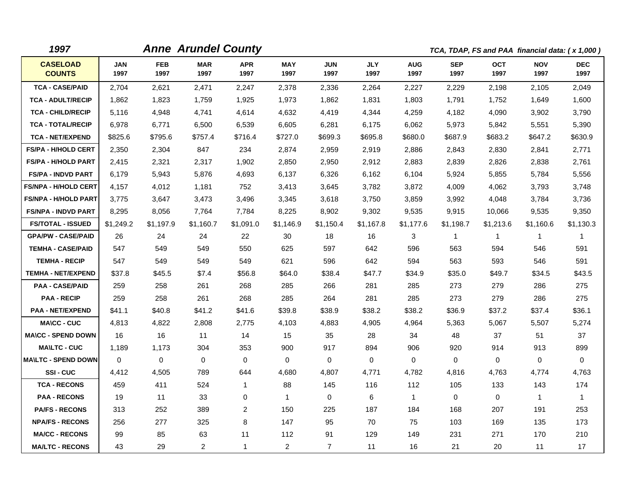| 1997                             |                    |                    | <b>Anne Arundel County</b> |                    |                    |                    |                    |                    |                    |                    | TCA, TDAP, FS and PAA financial data: (x 1,000) |                    |
|----------------------------------|--------------------|--------------------|----------------------------|--------------------|--------------------|--------------------|--------------------|--------------------|--------------------|--------------------|-------------------------------------------------|--------------------|
| <b>CASELOAD</b><br><b>COUNTS</b> | <b>JAN</b><br>1997 | <b>FEB</b><br>1997 | <b>MAR</b><br>1997         | <b>APR</b><br>1997 | <b>MAY</b><br>1997 | <b>JUN</b><br>1997 | <b>JLY</b><br>1997 | <b>AUG</b><br>1997 | <b>SEP</b><br>1997 | <b>OCT</b><br>1997 | <b>NOV</b><br>1997                              | <b>DEC</b><br>1997 |
| <b>TCA - CASE/PAID</b>           | 2,704              | 2,621              | 2,471                      | 2,247              | 2,378              | 2,336              | 2,264              | 2,227              | 2,229              | 2,198              | 2,105                                           | 2,049              |
| <b>TCA - ADULT/RECIP</b>         | 1,862              | 1,823              | 1,759                      | 1,925              | 1,973              | 1,862              | 1,831              | 1,803              | 1,791              | 1,752              | 1,649                                           | 1,600              |
| <b>TCA - CHILD/RECIP</b>         | 5,116              | 4,948              | 4,741                      | 4,614              | 4,632              | 4,419              | 4,344              | 4,259              | 4,182              | 4,090              | 3,902                                           | 3,790              |
| <b>TCA - TOTAL/RECIP</b>         | 6,978              | 6,771              | 6,500                      | 6,539              | 6,605              | 6,281              | 6,175              | 6,062              | 5,973              | 5,842              | 5,551                                           | 5,390              |
| <b>TCA - NET/EXPEND</b>          | \$825.6            | \$795.6            | \$757.4                    | \$716.4            | \$727.0            | \$699.3            | \$695.8            | \$680.0            | \$687.9            | \$683.2            | \$647.2                                         | \$630.9            |
| <b>FS/PA - H/HOLD CERT</b>       | 2,350              | 2,304              | 847                        | 234                | 2,874              | 2,959              | 2,919              | 2,886              | 2,843              | 2,830              | 2,841                                           | 2,771              |
| <b>FS/PA - H/HOLD PART</b>       | 2,415              | 2,321              | 2,317                      | 1,902              | 2,850              | 2,950              | 2,912              | 2,883              | 2,839              | 2,826              | 2,838                                           | 2,761              |
| <b>FS/PA - INDVD PART</b>        | 6,179              | 5,943              | 5,876                      | 4,693              | 6,137              | 6,326              | 6,162              | 6,104              | 5,924              | 5,855              | 5,784                                           | 5,556              |
| <b>FS/NPA - H/HOLD CERT</b>      | 4,157              | 4,012              | 1,181                      | 752                | 3,413              | 3,645              | 3,782              | 3,872              | 4,009              | 4,062              | 3,793                                           | 3,748              |
| <b>FS/NPA - H/HOLD PART</b>      | 3,775              | 3,647              | 3,473                      | 3,496              | 3,345              | 3,618              | 3,750              | 3,859              | 3,992              | 4,048              | 3,784                                           | 3,736              |
| <b>FS/NPA - INDVD PART</b>       | 8,295              | 8,056              | 7.764                      | 7,784              | 8,225              | 8,902              | 9,302              | 9,535              | 9,915              | 10,066             | 9,535                                           | 9,350              |
| <b>FS/TOTAL - ISSUED</b>         | \$1,249.2          | \$1,197.9          | \$1,160.7                  | \$1,091.0          | \$1,146.9          | \$1,150.4          | \$1,167.8          | \$1,177.6          | \$1,198.7          | \$1,213.6          | \$1,160.6                                       | \$1,130.3          |
| <b>GPA/PW - CASE/PAID</b>        | 26                 | 24                 | 24                         | 22                 | 30                 | 18                 | 16                 | 3                  | 1                  | $\mathbf{1}$       | 1                                               | 1                  |
| <b>TEMHA - CASE/PAID</b>         | 547                | 549                | 549                        | 550                | 625                | 597                | 642                | 596                | 563                | 594                | 546                                             | 591                |
| <b>TEMHA - RECIP</b>             | 547                | 549                | 549                        | 549                | 621                | 596                | 642                | 594                | 563                | 593                | 546                                             | 591                |
| <b>TEMHA - NET/EXPEND</b>        | \$37.8             | \$45.5             | \$7.4                      | \$56.8             | \$64.0             | \$38.4             | \$47.7             | \$34.9             | \$35.0             | \$49.7             | \$34.5                                          | \$43.5             |
| <b>PAA - CASE/PAID</b>           | 259                | 258                | 261                        | 268                | 285                | 266                | 281                | 285                | 273                | 279                | 286                                             | 275                |
| <b>PAA - RECIP</b>               | 259                | 258                | 261                        | 268                | 285                | 264                | 281                | 285                | 273                | 279                | 286                                             | 275                |
| <b>PAA - NET/EXPEND</b>          | \$41.1             | \$40.8             | \$41.2                     | \$41.6             | \$39.8             | \$38.9             | \$38.2             | \$38.2             | \$36.9             | \$37.2             | \$37.4                                          | \$36.1             |
| <b>MA\CC - CUC</b>               | 4,813              | 4,822              | 2,808                      | 2,775              | 4,103              | 4,883              | 4,905              | 4,964              | 5,363              | 5,067              | 5,507                                           | 5,274              |
| <b>MA\CC - SPEND DOWN</b>        | 16                 | 16                 | 11                         | 14                 | 15                 | 35                 | 28                 | 34                 | 48                 | 37                 | 51                                              | 37                 |
| <b>MA\LTC - CUC</b>              | 1,189              | 1,173              | 304                        | 353                | 900                | 917                | 894                | 906                | 920                | 914                | 913                                             | 899                |
| <b>MA\LTC - SPEND DOWN</b>       | $\mathbf{0}$       | 0                  | 0                          | 0                  | 0                  | $\mathbf 0$        | $\mathbf 0$        | 0                  | 0                  | 0                  | $\mathbf 0$                                     | $\mathbf 0$        |
| SSI-CUC                          | 4,412              | 4,505              | 789                        | 644                | 4,680              | 4,807              | 4,771              | 4,782              | 4,816              | 4,763              | 4,774                                           | 4,763              |
| <b>TCA - RECONS</b>              | 459                | 411                | 524                        | $\mathbf{1}$       | 88                 | 145                | 116                | 112                | 105                | 133                | 143                                             | 174                |
| <b>PAA - RECONS</b>              | 19                 | 11                 | 33                         | 0                  | $\mathbf{1}$       | $\mathbf 0$        | 6                  | $\mathbf{1}$       | 0                  | $\mathbf 0$        | $\mathbf{1}$                                    | $\mathbf{1}$       |
| <b>PA/FS - RECONS</b>            | 313                | 252                | 389                        | 2                  | 150                | 225                | 187                | 184                | 168                | 207                | 191                                             | 253                |
| <b>NPA/FS - RECONS</b>           | 256                | 277                | 325                        | 8                  | 147                | 95                 | 70                 | 75                 | 103                | 169                | 135                                             | 173                |
| <b>MA/CC - RECONS</b>            | 99                 | 85                 | 63                         | 11                 | 112                | 91                 | 129                | 149                | 231                | 271                | 170                                             | 210                |
| <b>MA/LTC - RECONS</b>           | 43                 | 29                 | $\overline{2}$             | $\mathbf{1}$       | $\overline{2}$     | $\overline{7}$     | 11                 | 16                 | 21                 | 20                 | 11                                              | 17                 |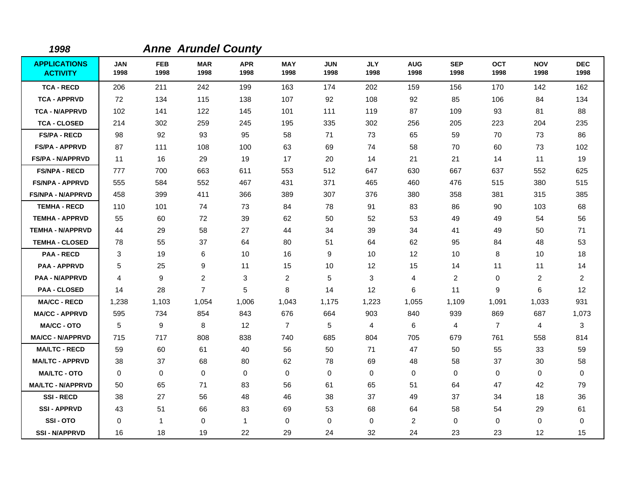| 1998                                   |                    |                    | <b>Anne Arundel County</b> |                    |                         |                    |                    |                    |                    |                    |                    |                    |
|----------------------------------------|--------------------|--------------------|----------------------------|--------------------|-------------------------|--------------------|--------------------|--------------------|--------------------|--------------------|--------------------|--------------------|
| <b>APPLICATIONS</b><br><b>ACTIVITY</b> | <b>JAN</b><br>1998 | <b>FEB</b><br>1998 | <b>MAR</b><br>1998         | <b>APR</b><br>1998 | <b>MAY</b><br>1998      | <b>JUN</b><br>1998 | <b>JLY</b><br>1998 | <b>AUG</b><br>1998 | <b>SEP</b><br>1998 | <b>OCT</b><br>1998 | <b>NOV</b><br>1998 | <b>DEC</b><br>1998 |
| <b>TCA - RECD</b>                      | 206                | 211                | 242                        | 199                | 163                     | 174                | 202                | 159                | 156                | 170                | 142                | 162                |
| <b>TCA - APPRVD</b>                    | 72                 | 134                | 115                        | 138                | 107                     | 92                 | 108                | 92                 | 85                 | 106                | 84                 | 134                |
| <b>TCA - N/APPRVD</b>                  | 102                | 141                | 122                        | 145                | 101                     | 111                | 119                | 87                 | 109                | 93                 | 81                 | 88                 |
| <b>TCA - CLOSED</b>                    | 214                | 302                | 259                        | 245                | 195                     | 335                | 302                | 256                | 205                | 223                | 204                | 235                |
| <b>FS/PA - RECD</b>                    | 98                 | 92                 | 93                         | 95                 | 58                      | 71                 | 73                 | 65                 | 59                 | 70                 | 73                 | 86                 |
| <b>FS/PA - APPRVD</b>                  | 87                 | 111                | 108                        | 100                | 63                      | 69                 | 74                 | 58                 | 70                 | 60                 | 73                 | 102                |
| <b>FS/PA - N/APPRVD</b>                | 11                 | 16                 | 29                         | 19                 | 17                      | 20                 | 14                 | 21                 | 21                 | 14                 | 11                 | 19                 |
| <b>FS/NPA - RECD</b>                   | 777                | 700                | 663                        | 611                | 553                     | 512                | 647                | 630                | 667                | 637                | 552                | 625                |
| <b>FS/NPA - APPRVD</b>                 | 555                | 584                | 552                        | 467                | 431                     | 371                | 465                | 460                | 476                | 515                | 380                | 515                |
| <b>FS/NPA - N/APPRVD</b>               | 458                | 399                | 411                        | 366                | 389                     | 307                | 376                | 380                | 358                | 381                | 315                | 385                |
| <b>TEMHA - RECD</b>                    | 110                | 101                | 74                         | 73                 | 84                      | 78                 | 91                 | 83                 | 86                 | 90                 | 103                | 68                 |
| <b>TEMHA - APPRVD</b>                  | 55                 | 60                 | 72                         | 39                 | 62                      | 50                 | 52                 | 53                 | 49                 | 49                 | 54                 | 56                 |
| <b>TEMHA - N/APPRVD</b>                | 44                 | 29                 | 58                         | 27                 | 44                      | 34                 | 39                 | 34                 | 41                 | 49                 | 50                 | 71                 |
| <b>TEMHA - CLOSED</b>                  | 78                 | 55                 | 37                         | 64                 | 80                      | 51                 | 64                 | 62                 | 95                 | 84                 | 48                 | 53                 |
| <b>PAA - RECD</b>                      | 3                  | 19                 | 6                          | 10                 | 16                      | 9                  | 10                 | 12                 | 10                 | 8                  | 10                 | 18                 |
| <b>PAA - APPRVD</b>                    | 5                  | 25                 | 9                          | 11                 | 15                      | 10                 | 12                 | 15                 | 14                 | 11                 | 11                 | 14                 |
| <b>PAA - N/APPRVD</b>                  | 4                  | 9                  | $\overline{2}$             | 3                  | $\overline{\mathbf{c}}$ | 5                  | 3                  | 4                  | 2                  | 0                  | $\overline{2}$     | $\overline{c}$     |
| <b>PAA - CLOSED</b>                    | 14                 | 28                 | $\overline{7}$             | 5                  | 8                       | 14                 | 12                 | 6                  | 11                 | 9                  | 6                  | 12                 |
| <b>MA/CC - RECD</b>                    | 1,238              | 1,103              | 1,054                      | 1,006              | 1,043                   | 1,175              | 1,223              | 1,055              | 1,109              | 1,091              | 1,033              | 931                |
| <b>MA/CC - APPRVD</b>                  | 595                | 734                | 854                        | 843                | 676                     | 664                | 903                | 840                | 939                | 869                | 687                | 1,073              |
| <b>MA/CC - OTO</b>                     | 5                  | 9                  | 8                          | 12                 | $\overline{7}$          | 5                  | 4                  | 6                  | 4                  | $\overline{7}$     | 4                  | 3                  |
| <b>MA/CC - N/APPRVD</b>                | 715                | 717                | 808                        | 838                | 740                     | 685                | 804                | 705                | 679                | 761                | 558                | 814                |
| <b>MA/LTC - RECD</b>                   | 59                 | 60                 | 61                         | 40                 | 56                      | 50                 | 71                 | 47                 | 50                 | 55                 | 33                 | 59                 |
| <b>MA/LTC - APPRVD</b>                 | 38                 | 37                 | 68                         | 80                 | 62                      | 78                 | 69                 | 48                 | 58                 | 37                 | 30                 | 58                 |
| <b>MA/LTC - OTO</b>                    | 0                  | 0                  | 0                          | 0                  | 0                       | $\mathbf 0$        | 0                  | 0                  | 0                  | 0                  | 0                  | 0                  |
| <b>MA/LTC - N/APPRVD</b>               | 50                 | 65                 | 71                         | 83                 | 56                      | 61                 | 65                 | 51                 | 64                 | 47                 | 42                 | 79                 |
| <b>SSI-RECD</b>                        | 38                 | 27                 | 56                         | 48                 | 46                      | 38                 | 37                 | 49                 | 37                 | 34                 | 18                 | 36                 |
| <b>SSI-APPRVD</b>                      | 43                 | 51                 | 66                         | 83                 | 69                      | 53                 | 68                 | 64                 | 58                 | 54                 | 29                 | 61                 |
| SSI-OTO                                | 0                  | $\mathbf{1}$       | 0                          | $\mathbf{1}$       | $\,0\,$                 | 0                  | 0                  | $\overline{a}$     | 0                  | 0                  | $\mathbf 0$        | 0                  |
| <b>SSI - N/APPRVD</b>                  | 16                 | 18                 | 19                         | 22                 | 29                      | 24                 | 32                 | 24                 | 23                 | 23                 | 12                 | 15                 |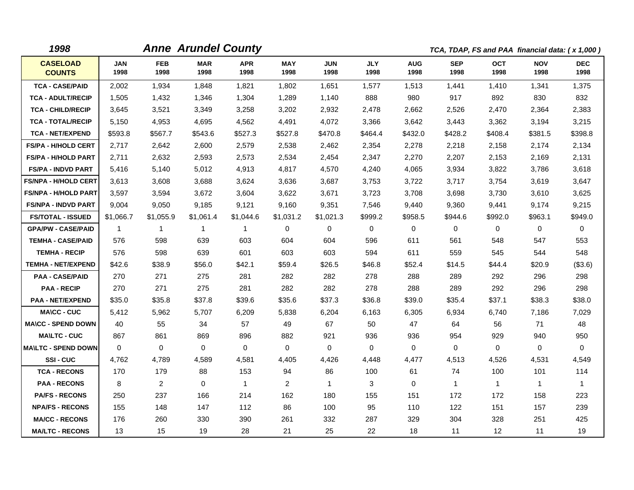| 1998                             |              |                    | <b>Anne Arundel County</b> |                    |                |                    |                    |                    |                    | TCA, TDAP, FS and PAA financial data: (x 1,000) |                    |                    |
|----------------------------------|--------------|--------------------|----------------------------|--------------------|----------------|--------------------|--------------------|--------------------|--------------------|-------------------------------------------------|--------------------|--------------------|
| <b>CASELOAD</b><br><b>COUNTS</b> | JAN<br>1998  | <b>FEB</b><br>1998 | <b>MAR</b><br>1998         | <b>APR</b><br>1998 | MAY<br>1998    | <b>JUN</b><br>1998 | <b>JLY</b><br>1998 | <b>AUG</b><br>1998 | <b>SEP</b><br>1998 | <b>OCT</b><br>1998                              | <b>NOV</b><br>1998 | <b>DEC</b><br>1998 |
| <b>TCA - CASE/PAID</b>           | 2,002        | 1,934              | 1,848                      | 1,821              | 1,802          | 1,651              | 1,577              | 1,513              | 1,441              | 1,410                                           | 1,341              | 1,375              |
| <b>TCA - ADULT/RECIP</b>         | 1,505        | 1,432              | 1,346                      | 1,304              | 1,289          | 1,140              | 888                | 980                | 917                | 892                                             | 830                | 832                |
| <b>TCA - CHILD/RECIP</b>         | 3,645        | 3,521              | 3,349                      | 3,258              | 3,202          | 2,932              | 2,478              | 2,662              | 2,526              | 2,470                                           | 2,364              | 2,383              |
| <b>TCA - TOTAL/RECIP</b>         | 5,150        | 4,953              | 4,695                      | 4,562              | 4,491          | 4,072              | 3,366              | 3,642              | 3,443              | 3,362                                           | 3,194              | 3,215              |
| <b>TCA - NET/EXPEND</b>          | \$593.8      | \$567.7            | \$543.6                    | \$527.3            | \$527.8        | \$470.8            | \$464.4            | \$432.0            | \$428.2            | \$408.4                                         | \$381.5            | \$398.8            |
| <b>FS/PA - H/HOLD CERT</b>       | 2,717        | 2,642              | 2,600                      | 2,579              | 2,538          | 2,462              | 2,354              | 2,278              | 2,218              | 2,158                                           | 2,174              | 2,134              |
| <b>FS/PA - H/HOLD PART</b>       | 2,711        | 2,632              | 2,593                      | 2,573              | 2,534          | 2,454              | 2,347              | 2,270              | 2,207              | 2,153                                           | 2,169              | 2,131              |
| <b>FS/PA - INDVD PART</b>        | 5,416        | 5,140              | 5,012                      | 4,913              | 4,817          | 4,570              | 4,240              | 4,065              | 3,934              | 3,822                                           | 3,786              | 3,618              |
| <b>FS/NPA - H/HOLD CERT</b>      | 3,613        | 3,608              | 3,688                      | 3,624              | 3,636          | 3,687              | 3,753              | 3,722              | 3,717              | 3,754                                           | 3,619              | 3,647              |
| <b>FS/NPA - H/HOLD PART</b>      | 3,597        | 3,594              | 3,672                      | 3,604              | 3,622          | 3,671              | 3,723              | 3,708              | 3,698              | 3,730                                           | 3,610              | 3,625              |
| <b>FS/NPA - INDVD PART</b>       | 9,004        | 9,050              | 9,185                      | 9,121              | 9,160          | 9,351              | 7,546              | 9,440              | 9,360              | 9,441                                           | 9,174              | 9,215              |
| <b>FS/TOTAL - ISSUED</b>         | \$1,066.7    | \$1,055.9          | \$1,061.4                  | \$1,044.6          | \$1,031.2      | \$1,021.3          | \$999.2            | \$958.5            | \$944.6            | \$992.0                                         | \$963.1            | \$949.0            |
| <b>GPA/PW - CASE/PAID</b>        | $\mathbf{1}$ | $\mathbf{1}$       | $\mathbf{1}$               | $\mathbf{1}$       | 0              | $\Omega$           | 0                  | 0                  | 0                  | 0                                               | 0                  | $\mathbf 0$        |
| <b>TEMHA - CASE/PAID</b>         | 576          | 598                | 639                        | 603                | 604            | 604                | 596                | 611                | 561                | 548                                             | 547                | 553                |
| <b>TEMHA - RECIP</b>             | 576          | 598                | 639                        | 601                | 603            | 603                | 594                | 611                | 559                | 545                                             | 544                | 548                |
| <b>TEMHA - NET/EXPEND</b>        | \$42.6       | \$38.9             | \$56.0                     | \$42.1             | \$59.4         | \$26.5             | \$46.8             | \$52.4             | \$14.5             | \$44.4                                          | \$20.9             | (\$3.6)            |
| <b>PAA - CASE/PAID</b>           | 270          | 271                | 275                        | 281                | 282            | 282                | 278                | 288                | 289                | 292                                             | 296                | 298                |
| <b>PAA - RECIP</b>               | 270          | 271                | 275                        | 281                | 282            | 282                | 278                | 288                | 289                | 292                                             | 296                | 298                |
| <b>PAA - NET/EXPEND</b>          | \$35.0       | \$35.8             | \$37.8                     | \$39.6             | \$35.6         | \$37.3             | \$36.8             | \$39.0             | \$35.4             | \$37.1                                          | \$38.3             | \$38.0             |
| <b>MA\CC - CUC</b>               | 5,412        | 5,962              | 5,707                      | 6,209              | 5,838          | 6,204              | 6,163              | 6,305              | 6,934              | 6,740                                           | 7,186              | 7,029              |
| <b>MA\CC - SPEND DOWN</b>        | 40           | 55                 | 34                         | 57                 | 49             | 67                 | 50                 | 47                 | 64                 | 56                                              | 71                 | 48                 |
| <b>MA\LTC - CUC</b>              | 867          | 861                | 869                        | 896                | 882            | 921                | 936                | 936                | 954                | 929                                             | 940                | 950                |
| <b>MA\LTC - SPEND DOWN</b>       | $\mathbf 0$  | $\mathbf 0$        | $\mathbf 0$                | 0                  | 0              | $\mathbf 0$        | $\mathbf 0$        | 0                  | 0                  | 0                                               | 0                  | 0                  |
| SSI-CUC                          | 4,762        | 4,789              | 4,589                      | 4,581              | 4,405          | 4,426              | 4,448              | 4,477              | 4,513              | 4,526                                           | 4,531              | 4,549              |
| <b>TCA - RECONS</b>              | 170          | 179                | 88                         | 153                | 94             | 86                 | 100                | 61                 | 74                 | 100                                             | 101                | 114                |
| <b>PAA - RECONS</b>              | 8            | $\mathbf{2}$       | $\mathbf{0}$               | $\mathbf{1}$       | $\overline{2}$ | $\mathbf{1}$       | 3                  | $\mathbf 0$        | $\mathbf{1}$       | $\mathbf{1}$                                    | $\mathbf{1}$       | 1                  |
| <b>PA/FS - RECONS</b>            | 250          | 237                | 166                        | 214                | 162            | 180                | 155                | 151                | 172                | 172                                             | 158                | 223                |
| <b>NPA/FS - RECONS</b>           | 155          | 148                | 147                        | 112                | 86             | 100                | 95                 | 110                | 122                | 151                                             | 157                | 239                |
| <b>MA/CC - RECONS</b>            | 176          | 260                | 330                        | 390                | 261            | 332                | 287                | 329                | 304                | 328                                             | 251                | 425                |
| <b>MA/LTC - RECONS</b>           | 13           | 15                 | 19                         | 28                 | 21             | 25                 | 22                 | 18                 | 11                 | 12                                              | 11                 | 19                 |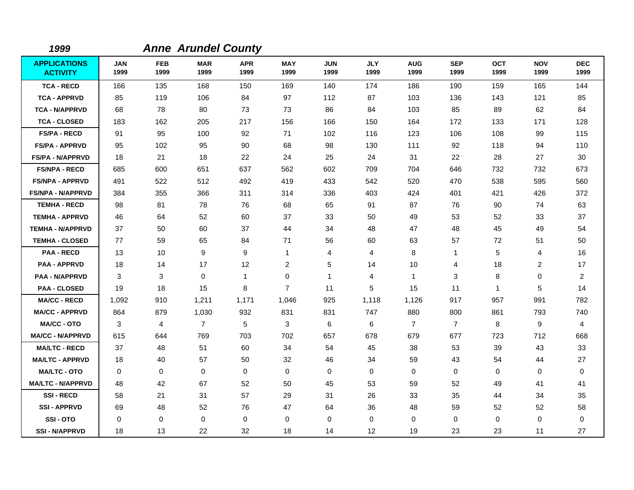| 1999                                   |                    |                    | <b>Anne Arundel County</b> |                    |                    |                    |                    |                    |                    |                    |                    |                    |
|----------------------------------------|--------------------|--------------------|----------------------------|--------------------|--------------------|--------------------|--------------------|--------------------|--------------------|--------------------|--------------------|--------------------|
| <b>APPLICATIONS</b><br><b>ACTIVITY</b> | <b>JAN</b><br>1999 | <b>FEB</b><br>1999 | <b>MAR</b><br>1999         | <b>APR</b><br>1999 | <b>MAY</b><br>1999 | <b>JUN</b><br>1999 | <b>JLY</b><br>1999 | <b>AUG</b><br>1999 | <b>SEP</b><br>1999 | <b>OCT</b><br>1999 | <b>NOV</b><br>1999 | <b>DEC</b><br>1999 |
| <b>TCA - RECD</b>                      | 166                | 135                | 168                        | 150                | 169                | 140                | 174                | 186                | 190                | 159                | 165                | 144                |
| <b>TCA - APPRVD</b>                    | 85                 | 119                | 106                        | 84                 | 97                 | 112                | 87                 | 103                | 136                | 143                | 121                | 85                 |
| <b>TCA - N/APPRVD</b>                  | 68                 | 78                 | 80                         | 73                 | 73                 | 86                 | 84                 | 103                | 85                 | 89                 | 62                 | 84                 |
| <b>TCA - CLOSED</b>                    | 183                | 162                | 205                        | 217                | 156                | 166                | 150                | 164                | 172                | 133                | 171                | 128                |
| <b>FS/PA - RECD</b>                    | 91                 | 95                 | 100                        | 92                 | 71                 | 102                | 116                | 123                | 106                | 108                | 99                 | 115                |
| <b>FS/PA - APPRVD</b>                  | 95                 | 102                | 95                         | 90                 | 68                 | 98                 | 130                | 111                | 92                 | 118                | 94                 | 110                |
| <b>FS/PA - N/APPRVD</b>                | 18                 | 21                 | 18                         | 22                 | 24                 | 25                 | 24                 | 31                 | 22                 | 28                 | 27                 | 30                 |
| <b>FS/NPA - RECD</b>                   | 685                | 600                | 651                        | 637                | 562                | 602                | 709                | 704                | 646                | 732                | 732                | 673                |
| <b>FS/NPA - APPRVD</b>                 | 491                | 522                | 512                        | 492                | 419                | 433                | 542                | 520                | 470                | 538                | 595                | 560                |
| <b>FS/NPA - N/APPRVD</b>               | 384                | 355                | 366                        | 311                | 314                | 336                | 403                | 424                | 401                | 421                | 426                | 372                |
| <b>TEMHA - RECD</b>                    | 98                 | 81                 | 78                         | 76                 | 68                 | 65                 | 91                 | 87                 | 76                 | 90                 | 74                 | 63                 |
| <b>TEMHA - APPRVD</b>                  | 46                 | 64                 | 52                         | 60                 | 37                 | 33                 | 50                 | 49                 | 53                 | 52                 | 33                 | 37                 |
| <b>TEMHA - N/APPRVD</b>                | 37                 | 50                 | 60                         | 37                 | 44                 | 34                 | 48                 | 47                 | 48                 | 45                 | 49                 | 54                 |
| <b>TEMHA - CLOSED</b>                  | 77                 | 59                 | 65                         | 84                 | 71                 | 56                 | 60                 | 63                 | 57                 | 72                 | 51                 | 50                 |
| <b>PAA - RECD</b>                      | 13                 | 10                 | 9                          | 9                  | $\overline{1}$     | 4                  | 4                  | 8                  | 1                  | 5                  | 4                  | 16                 |
| <b>PAA - APPRVD</b>                    | 18                 | 14                 | 17                         | 12                 | $\overline{c}$     | 5                  | 14                 | 10                 | 4                  | 18                 | $\overline{c}$     | 17                 |
| <b>PAA - N/APPRVD</b>                  | 3                  | 3                  | $\mathbf 0$                | 1                  | 0                  | 1                  | 4                  | $\mathbf{1}$       | 3                  | 8                  | 0                  | $\overline{c}$     |
| <b>PAA - CLOSED</b>                    | 19                 | 18                 | 15                         | 8                  | $\overline{7}$     | 11                 | 5                  | 15                 | 11                 | $\mathbf{1}$       | 5                  | 14                 |
| <b>MA/CC - RECD</b>                    | 1,092              | 910                | 1,211                      | 1,171              | 1,046              | 925                | 1,118              | 1,126              | 917                | 957                | 991                | 782                |
| <b>MA/CC - APPRVD</b>                  | 864                | 879                | 1,030                      | 932                | 831                | 831                | 747                | 880                | 800                | 861                | 793                | 740                |
| <b>MA/CC - OTO</b>                     | 3                  | $\overline{4}$     | $\overline{7}$             | 5                  | 3                  | 6                  | 6                  | $\overline{7}$     | $\overline{7}$     | 8                  | 9                  | 4                  |
| <b>MA/CC - N/APPRVD</b>                | 615                | 644                | 769                        | 703                | 702                | 657                | 678                | 679                | 677                | 723                | 712                | 668                |
| <b>MA/LTC - RECD</b>                   | 37                 | 48                 | 51                         | 60                 | 34                 | 54                 | 45                 | 38                 | 53                 | 39                 | 43                 | 33                 |
| <b>MA/LTC - APPRVD</b>                 | 18                 | 40                 | 57                         | 50                 | 32                 | 46                 | 34                 | 59                 | 43                 | 54                 | 44                 | 27                 |
| <b>MA/LTC - OTO</b>                    | 0                  | 0                  | 0                          | $\mathbf{0}$       | 0                  | 0                  | 0                  | 0                  | $\mathbf 0$        | 0                  | 0                  | 0                  |
| <b>MA/LTC - N/APPRVD</b>               | 48                 | 42                 | 67                         | 52                 | 50                 | 45                 | 53                 | 59                 | 52                 | 49                 | 41                 | 41                 |
| <b>SSI-RECD</b>                        | 58                 | 21                 | 31                         | 57                 | 29                 | 31                 | 26                 | 33                 | 35                 | 44                 | 34                 | 35                 |
| <b>SSI-APPRVD</b>                      | 69                 | 48                 | 52                         | 76                 | 47                 | 64                 | 36                 | 48                 | 59                 | 52                 | 52                 | 58                 |
| SSI-OTO                                | 0                  | 0                  | 0                          | 0                  | 0                  | 0                  | $\mathbf 0$        | 0                  | 0                  | 0                  | 0                  | 0                  |
| <b>SSI-N/APPRVD</b>                    | 18                 | 13                 | 22                         | 32                 | 18                 | 14                 | 12                 | 19                 | 23                 | 23                 | 11                 | 27                 |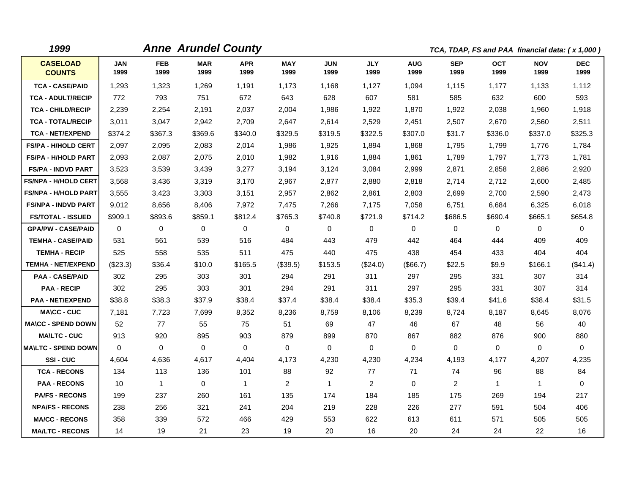| 1999                             |                    | <b>Anne Arundel County</b> |                    |                    |                    |                    |                    |                    |                    | TCA, TDAP, FS and PAA financial data: (x 1,000) |                    |                    |
|----------------------------------|--------------------|----------------------------|--------------------|--------------------|--------------------|--------------------|--------------------|--------------------|--------------------|-------------------------------------------------|--------------------|--------------------|
| <b>CASELOAD</b><br><b>COUNTS</b> | <b>JAN</b><br>1999 | <b>FEB</b><br>1999         | <b>MAR</b><br>1999 | <b>APR</b><br>1999 | <b>MAY</b><br>1999 | <b>JUN</b><br>1999 | <b>JLY</b><br>1999 | <b>AUG</b><br>1999 | <b>SEP</b><br>1999 | <b>OCT</b><br>1999                              | <b>NOV</b><br>1999 | <b>DEC</b><br>1999 |
| <b>TCA - CASE/PAID</b>           | 1,293              | 1,323                      | 1,269              | 1,191              | 1,173              | 1,168              | 1,127              | 1,094              | 1,115              | 1,177                                           | 1,133              | 1,112              |
| <b>TCA - ADULT/RECIP</b>         | 772                | 793                        | 751                | 672                | 643                | 628                | 607                | 581                | 585                | 632                                             | 600                | 593                |
| <b>TCA - CHILD/RECIP</b>         | 2,239              | 2,254                      | 2,191              | 2,037              | 2,004              | 1,986              | 1,922              | 1,870              | 1,922              | 2,038                                           | 1,960              | 1,918              |
| <b>TCA - TOTAL/RECIP</b>         | 3,011              | 3,047                      | 2,942              | 2,709              | 2,647              | 2,614              | 2,529              | 2,451              | 2,507              | 2,670                                           | 2,560              | 2,511              |
| <b>TCA - NET/EXPEND</b>          | \$374.2            | \$367.3                    | \$369.6            | \$340.0            | \$329.5            | \$319.5            | \$322.5            | \$307.0            | \$31.7             | \$336.0                                         | \$337.0            | \$325.3            |
| <b>FS/PA - H/HOLD CERT</b>       | 2,097              | 2,095                      | 2,083              | 2,014              | 1,986              | 1,925              | 1,894              | 1,868              | 1,795              | 1,799                                           | 1,776              | 1,784              |
| <b>FS/PA - H/HOLD PART</b>       | 2,093              | 2,087                      | 2,075              | 2,010              | 1,982              | 1,916              | 1,884              | 1,861              | 1,789              | 1,797                                           | 1,773              | 1,781              |
| <b>FS/PA - INDVD PART</b>        | 3,523              | 3,539                      | 3,439              | 3,277              | 3,194              | 3,124              | 3,084              | 2,999              | 2,871              | 2,858                                           | 2,886              | 2,920              |
| <b>FS/NPA - H/HOLD CERT</b>      | 3,568              | 3,436                      | 3,319              | 3,170              | 2,967              | 2,877              | 2,880              | 2,818              | 2,714              | 2,712                                           | 2,600              | 2,485              |
| <b>FS/NPA - H/HOLD PART</b>      | 3,555              | 3,423                      | 3,303              | 3,151              | 2,957              | 2,862              | 2,861              | 2,803              | 2,699              | 2,700                                           | 2,590              | 2,473              |
| <b>FS/NPA - INDVD PART</b>       | 9,012              | 8,656                      | 8,406              | 7,972              | 7,475              | 7,266              | 7,175              | 7,058              | 6,751              | 6,684                                           | 6,325              | 6,018              |
| <b>FS/TOTAL - ISSUED</b>         | \$909.1            | \$893.6                    | \$859.1            | \$812.4            | \$765.3            | \$740.8            | \$721.9            | \$714.2            | \$686.5            | \$690.4                                         | \$665.1            | \$654.8            |
| <b>GPA/PW - CASE/PAID</b>        | 0                  | $\mathbf 0$                | $\mathbf 0$        | $\mathbf 0$        | 0                  | $\mathbf 0$        | 0                  | 0                  | 0                  | $\mathbf 0$                                     | $\mathbf 0$        | $\mathbf 0$        |
| <b>TEMHA - CASE/PAID</b>         | 531                | 561                        | 539                | 516                | 484                | 443                | 479                | 442                | 464                | 444                                             | 409                | 409                |
| <b>TEMHA - RECIP</b>             | 525                | 558                        | 535                | 511                | 475                | 440                | 475                | 438                | 454                | 433                                             | 404                | 404                |
| <b>TEMHA - NET/EXPEND</b>        | $(\$23.3)$         | \$36.4                     | \$10.0             | \$165.5            | (\$39.5)           | \$153.5            | (\$24.0)           | (\$66.7)           | \$22.5             | \$9.9                                           | \$166.1            | (\$41.4)           |
| <b>PAA - CASE/PAID</b>           | 302                | 295                        | 303                | 301                | 294                | 291                | 311                | 297                | 295                | 331                                             | 307                | 314                |
| <b>PAA - RECIP</b>               | 302                | 295                        | 303                | 301                | 294                | 291                | 311                | 297                | 295                | 331                                             | 307                | 314                |
| <b>PAA - NET/EXPEND</b>          | \$38.8             | \$38.3                     | \$37.9             | \$38.4             | \$37.4             | \$38.4             | \$38.4             | \$35.3             | \$39.4             | \$41.6                                          | \$38.4             | \$31.5             |
| <b>MA\CC - CUC</b>               | 7,181              | 7,723                      | 7,699              | 8,352              | 8,236              | 8,759              | 8,106              | 8,239              | 8,724              | 8,187                                           | 8,645              | 8,076              |
| <b>MA\CC - SPEND DOWN</b>        | 52                 | 77                         | 55                 | 75                 | 51                 | 69                 | 47                 | 46                 | 67                 | 48                                              | 56                 | 40                 |
| <b>MA\LTC - CUC</b>              | 913                | 920                        | 895                | 903                | 879                | 899                | 870                | 867                | 882                | 876                                             | 900                | 880                |
| <b>MAILTC - SPEND DOWN</b>       | $\mathbf 0$        | $\mathbf 0$                | 0                  | $\mathbf 0$        | 0                  | $\mathbf 0$        | 0                  | 0                  | 0                  | 0                                               | $\mathbf 0$        | 0                  |
| SSI-CUC                          | 4.604              | 4,636                      | 4,617              | 4,404              | 4,173              | 4,230              | 4,230              | 4,234              | 4,193              | 4,177                                           | 4,207              | 4,235              |
| <b>TCA - RECONS</b>              | 134                | 113                        | 136                | 101                | 88                 | 92                 | 77                 | 71                 | 74                 | 96                                              | 88                 | 84                 |
| <b>PAA - RECONS</b>              | 10                 | $\mathbf{1}$               | $\Omega$           | $\mathbf{1}$       | $\overline{2}$     | $\mathbf{1}$       | 2                  | $\Omega$           | 2                  | $\mathbf{1}$                                    | $\mathbf{1}$       | $\Omega$           |
| <b>PA/FS - RECONS</b>            | 199                | 237                        | 260                | 161                | 135                | 174                | 184                | 185                | 175                | 269                                             | 194                | 217                |
| <b>NPA/FS - RECONS</b>           | 238                | 256                        | 321                | 241                | 204                | 219                | 228                | 226                | 277                | 591                                             | 504                | 406                |
| <b>MA/CC - RECONS</b>            | 358                | 339                        | 572                | 466                | 429                | 553                | 622                | 613                | 611                | 571                                             | 505                | 505                |
| <b>MA/LTC - RECONS</b>           | 14                 | 19                         | 21                 | 23                 | 19                 | 20                 | 16                 | 20                 | 24                 | 24                                              | 22                 | 16                 |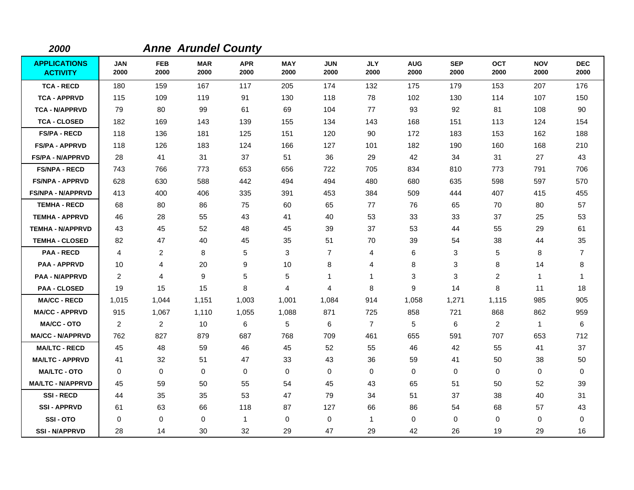| 2000                                   |                    |                    | <b>Anne Arundel County</b> |                    |                    |                    |                    |                    |                    |                    |                    |                    |
|----------------------------------------|--------------------|--------------------|----------------------------|--------------------|--------------------|--------------------|--------------------|--------------------|--------------------|--------------------|--------------------|--------------------|
| <b>APPLICATIONS</b><br><b>ACTIVITY</b> | <b>JAN</b><br>2000 | <b>FEB</b><br>2000 | <b>MAR</b><br>2000         | <b>APR</b><br>2000 | <b>MAY</b><br>2000 | <b>JUN</b><br>2000 | <b>JLY</b><br>2000 | <b>AUG</b><br>2000 | <b>SEP</b><br>2000 | <b>OCT</b><br>2000 | <b>NOV</b><br>2000 | <b>DEC</b><br>2000 |
| <b>TCA - RECD</b>                      | 180                | 159                | 167                        | 117                | 205                | 174                | 132                | 175                | 179                | 153                | 207                | 176                |
| <b>TCA - APPRVD</b>                    | 115                | 109                | 119                        | 91                 | 130                | 118                | 78                 | 102                | 130                | 114                | 107                | 150                |
| <b>TCA - N/APPRVD</b>                  | 79                 | 80                 | 99                         | 61                 | 69                 | 104                | 77                 | 93                 | 92                 | 81                 | 108                | 90                 |
| <b>TCA - CLOSED</b>                    | 182                | 169                | 143                        | 139                | 155                | 134                | 143                | 168                | 151                | 113                | 124                | 154                |
| <b>FS/PA - RECD</b>                    | 118                | 136                | 181                        | 125                | 151                | 120                | 90                 | 172                | 183                | 153                | 162                | 188                |
| <b>FS/PA - APPRVD</b>                  | 118                | 126                | 183                        | 124                | 166                | 127                | 101                | 182                | 190                | 160                | 168                | 210                |
| <b>FS/PA - N/APPRVD</b>                | 28                 | 41                 | 31                         | 37                 | 51                 | 36                 | 29                 | 42                 | 34                 | 31                 | 27                 | 43                 |
| <b>FS/NPA - RECD</b>                   | 743                | 766                | 773                        | 653                | 656                | 722                | 705                | 834                | 810                | 773                | 791                | 706                |
| <b>FS/NPA - APPRVD</b>                 | 628                | 630                | 588                        | 442                | 494                | 494                | 480                | 680                | 635                | 598                | 597                | 570                |
| <b>FS/NPA - N/APPRVD</b>               | 413                | 400                | 406                        | 335                | 391                | 453                | 384                | 509                | 444                | 407                | 415                | 455                |
| <b>TEMHA - RECD</b>                    | 68                 | 80                 | 86                         | 75                 | 60                 | 65                 | 77                 | 76                 | 65                 | 70                 | 80                 | 57                 |
| <b>TEMHA - APPRVD</b>                  | 46                 | 28                 | 55                         | 43                 | 41                 | 40                 | 53                 | 33                 | 33                 | 37                 | 25                 | 53                 |
| <b>TEMHA - N/APPRVD</b>                | 43                 | 45                 | 52                         | 48                 | 45                 | 39                 | 37                 | 53                 | 44                 | 55                 | 29                 | 61                 |
| <b>TEMHA - CLOSED</b>                  | 82                 | 47                 | 40                         | 45                 | 35                 | 51                 | 70                 | 39                 | 54                 | 38                 | 44                 | 35                 |
| <b>PAA - RECD</b>                      | $\overline{4}$     | $\overline{c}$     | 8                          | 5                  | 3                  | $\overline{7}$     | 4                  | 6                  | 3                  | 5                  | 8                  | $\overline{7}$     |
| <b>PAA - APPRVD</b>                    | 10                 | 4                  | 20                         | 9                  | 10                 | 8                  | 4                  | 8                  | 3                  | 8                  | 14                 | 8                  |
| <b>PAA - N/APPRVD</b>                  | 2                  | 4                  | 9                          | 5                  | 5                  | 1                  | 1                  | 3                  | 3                  | $\overline{2}$     | $\mathbf{1}$       | $\mathbf 1$        |
| <b>PAA - CLOSED</b>                    | 19                 | 15                 | 15                         | 8                  | $\overline{4}$     | 4                  | 8                  | 9                  | 14                 | 8                  | 11                 | 18                 |
| <b>MA/CC - RECD</b>                    | 1,015              | 1,044              | 1,151                      | 1,003              | 1,001              | 1,084              | 914                | 1,058              | 1,271              | 1,115              | 985                | 905                |
| <b>MA/CC - APPRVD</b>                  | 915                | 1,067              | 1,110                      | 1,055              | 1,088              | 871                | 725                | 858                | 721                | 868                | 862                | 959                |
| <b>MA/CC - OTO</b>                     | $\overline{2}$     | $\overline{2}$     | 10                         | 6                  | 5                  | 6                  | $\overline{7}$     | 5                  | 6                  | $\overline{2}$     | $\mathbf{1}$       | 6                  |
| <b>MA/CC - N/APPRVD</b>                | 762                | 827                | 879                        | 687                | 768                | 709                | 461                | 655                | 591                | 707                | 653                | 712                |
| <b>MA/LTC - RECD</b>                   | 45                 | 48                 | 59                         | 46                 | 45                 | 52                 | 55                 | 46                 | 42                 | 55                 | 41                 | 37                 |
| <b>MA/LTC - APPRVD</b>                 | 41                 | 32                 | 51                         | 47                 | 33                 | 43                 | 36                 | 59                 | 41                 | 50                 | 38                 | 50                 |
| <b>MA/LTC - OTO</b>                    | 0                  | $\mathbf 0$        | $\mathbf 0$                | 0                  | 0                  | 0                  | 0                  | 0                  | $\mathbf 0$        | 0                  | 0                  | 0                  |
| <b>MA/LTC - N/APPRVD</b>               | 45                 | 59                 | 50                         | 55                 | 54                 | 45                 | 43                 | 65                 | 51                 | 50                 | 52                 | 39                 |
| <b>SSI-RECD</b>                        | 44                 | 35                 | 35                         | 53                 | 47                 | 79                 | 34                 | 51                 | 37                 | 38                 | 40                 | 31                 |
| <b>SSI-APPRVD</b>                      | 61                 | 63                 | 66                         | 118                | 87                 | 127                | 66                 | 86                 | 54                 | 68                 | 57                 | 43                 |
| SSI-OTO                                | 0                  | 0                  | $\mathbf 0$                | $\mathbf{1}$       | 0                  | 0                  | $\mathbf{1}$       | 0                  | 0                  | 0                  | 0                  | 0                  |
| <b>SSI-N/APPRVD</b>                    | 28                 | 14                 | 30                         | 32                 | 29                 | 47                 | 29                 | 42                 | 26                 | 19                 | 29                 | 16                 |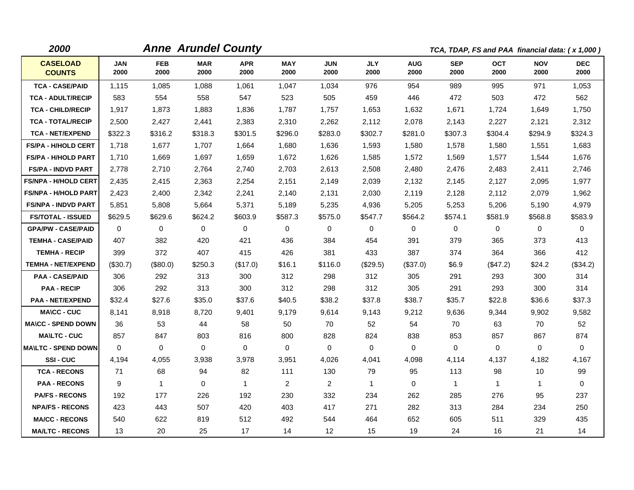| 2000                             |                    |                    | <b>Anne Arundel County</b> |                    |                    |                    |                    |                    |                    | TCA, TDAP, FS and PAA financial data: (x 1,000) |                    |                    |
|----------------------------------|--------------------|--------------------|----------------------------|--------------------|--------------------|--------------------|--------------------|--------------------|--------------------|-------------------------------------------------|--------------------|--------------------|
| <b>CASELOAD</b><br><b>COUNTS</b> | <b>JAN</b><br>2000 | <b>FEB</b><br>2000 | <b>MAR</b><br>2000         | <b>APR</b><br>2000 | <b>MAY</b><br>2000 | <b>JUN</b><br>2000 | <b>JLY</b><br>2000 | <b>AUG</b><br>2000 | <b>SEP</b><br>2000 | <b>OCT</b><br>2000                              | <b>NOV</b><br>2000 | <b>DEC</b><br>2000 |
| <b>TCA - CASE/PAID</b>           | 1,115              | 1,085              | 1,088                      | 1,061              | 1,047              | 1,034              | 976                | 954                | 989                | 995                                             | 971                | 1,053              |
| <b>TCA - ADULT/RECIP</b>         | 583                | 554                | 558                        | 547                | 523                | 505                | 459                | 446                | 472                | 503                                             | 472                | 562                |
| <b>TCA - CHILD/RECIP</b>         | 1,917              | 1,873              | 1,883                      | 1,836              | 1,787              | 1,757              | 1,653              | 1,632              | 1,671              | 1,724                                           | 1,649              | 1,750              |
| <b>TCA - TOTAL/RECIP</b>         | 2,500              | 2,427              | 2,441                      | 2,383              | 2,310              | 2,262              | 2,112              | 2,078              | 2,143              | 2,227                                           | 2,121              | 2,312              |
| <b>TCA - NET/EXPEND</b>          | \$322.3            | \$316.2            | \$318.3                    | \$301.5            | \$296.0            | \$283.0            | \$302.7            | \$281.0            | \$307.3            | \$304.4                                         | \$294.9            | \$324.3            |
| <b>FS/PA - H/HOLD CERT</b>       | 1,718              | 1,677              | 1,707                      | 1,664              | 1,680              | 1,636              | 1,593              | 1,580              | 1,578              | 1,580                                           | 1,551              | 1,683              |
| <b>FS/PA - H/HOLD PART</b>       | 1,710              | 1,669              | 1,697                      | 1,659              | 1,672              | 1,626              | 1,585              | 1,572              | 1,569              | 1,577                                           | 1,544              | 1,676              |
| <b>FS/PA - INDVD PART</b>        | 2,778              | 2,710              | 2,764                      | 2,740              | 2,703              | 2,613              | 2,508              | 2,480              | 2,476              | 2,483                                           | 2,411              | 2,746              |
| <b>FS/NPA - H/HOLD CERT</b>      | 2,435              | 2,415              | 2,363                      | 2,254              | 2,151              | 2,149              | 2,039              | 2,132              | 2,145              | 2,127                                           | 2,095              | 1,977              |
| <b>FS/NPA - H/HOLD PART</b>      | 2,423              | 2,400              | 2,342                      | 2,241              | 2,140              | 2,131              | 2,030              | 2,119              | 2,128              | 2,112                                           | 2,079              | 1,962              |
| <b>FS/NPA - INDVD PART</b>       | 5,851              | 5,808              | 5,664                      | 5,371              | 5,189              | 5,235              | 4,936              | 5,205              | 5,253              | 5,206                                           | 5,190              | 4,979              |
| <b>FS/TOTAL - ISSUED</b>         | \$629.5            | \$629.6            | \$624.2                    | \$603.9            | \$587.3            | \$575.0            | \$547.7            | \$564.2            | \$574.1            | \$581.9                                         | \$568.8            | \$583.9            |
| <b>GPA/PW - CASE/PAID</b>        | $\Omega$           | $\mathbf 0$        | $\Omega$                   | $\mathbf 0$        | 0                  | 0                  | 0                  | 0                  | 0                  | 0                                               | $\mathbf 0$        | $\mathbf 0$        |
| <b>TEMHA - CASE/PAID</b>         | 407                | 382                | 420                        | 421                | 436                | 384                | 454                | 391                | 379                | 365                                             | 373                | 413                |
| <b>TEMHA - RECIP</b>             | 399                | 372                | 407                        | 415                | 426                | 381                | 433                | 387                | 374                | 364                                             | 366                | 412                |
| <b>TEMHA - NET/EXPEND</b>        | (\$30.7)           | (\$80.0)           | \$250.3                    | (\$17.0)           | \$16.1             | \$116.0            | (\$29.5)           | (\$37.0)           | \$6.9              | (\$47.2)                                        | \$24.2             | (\$34.2)           |
| <b>PAA - CASE/PAID</b>           | 306                | 292                | 313                        | 300                | 312                | 298                | 312                | 305                | 291                | 293                                             | 300                | 314                |
| <b>PAA - RECIP</b>               | 306                | 292                | 313                        | 300                | 312                | 298                | 312                | 305                | 291                | 293                                             | 300                | 314                |
| <b>PAA - NET/EXPEND</b>          | \$32.4             | \$27.6             | \$35.0                     | \$37.6             | \$40.5             | \$38.2             | \$37.8             | \$38.7             | \$35.7             | \$22.8                                          | \$36.6             | \$37.3             |
| <b>MA\CC - CUC</b>               | 8,141              | 8,918              | 8,720                      | 9,401              | 9,179              | 9,614              | 9,143              | 9,212              | 9,636              | 9,344                                           | 9,902              | 9,582              |
| <b>MA\CC - SPEND DOWN</b>        | 36                 | 53                 | 44                         | 58                 | 50                 | 70                 | 52                 | 54                 | 70                 | 63                                              | 70                 | 52                 |
| <b>MA\LTC - CUC</b>              | 857                | 847                | 803                        | 816                | 800                | 828                | 824                | 838                | 853                | 857                                             | 867                | 874                |
| <b>MAILTC - SPEND DOWN</b>       | $\Omega$           | $\mathbf 0$        | $\mathbf 0$                | $\mathbf 0$        | $\mathbf 0$        | $\mathbf 0$        | 0                  | $\mathbf 0$        | $\Omega$           | $\mathbf 0$                                     | $\mathbf 0$        | $\mathbf 0$        |
| SSI-CUC                          | 4,194              | 4,055              | 3,938                      | 3,978              | 3,951              | 4,026              | 4,041              | 4,098              | 4,114              | 4,137                                           | 4,182              | 4,167              |
| <b>TCA - RECONS</b>              | 71                 | 68                 | 94                         | 82                 | 111                | 130                | 79                 | 95                 | 113                | 98                                              | 10                 | 99                 |
| <b>PAA - RECONS</b>              | 9                  | $\mathbf{1}$       | $\Omega$                   | $\mathbf{1}$       | $\overline{a}$     | $\overline{2}$     | $\mathbf{1}$       | $\mathbf 0$        | $\mathbf{1}$       | $\mathbf{1}$                                    | $\mathbf{1}$       | 0                  |
| <b>PA/FS - RECONS</b>            | 192                | 177                | 226                        | 192                | 230                | 332                | 234                | 262                | 285                | 276                                             | 95                 | 237                |
| <b>NPA/FS - RECONS</b>           | 423                | 443                | 507                        | 420                | 403                | 417                | 271                | 282                | 313                | 284                                             | 234                | 250                |
| <b>MA/CC - RECONS</b>            | 540                | 622                | 819                        | 512                | 492                | 544                | 464                | 652                | 605                | 511                                             | 329                | 435                |
| <b>MA/LTC - RECONS</b>           | 13                 | 20                 | 25                         | 17                 | 14                 | 12                 | 15                 | 19                 | 24                 | 16                                              | 21                 | 14                 |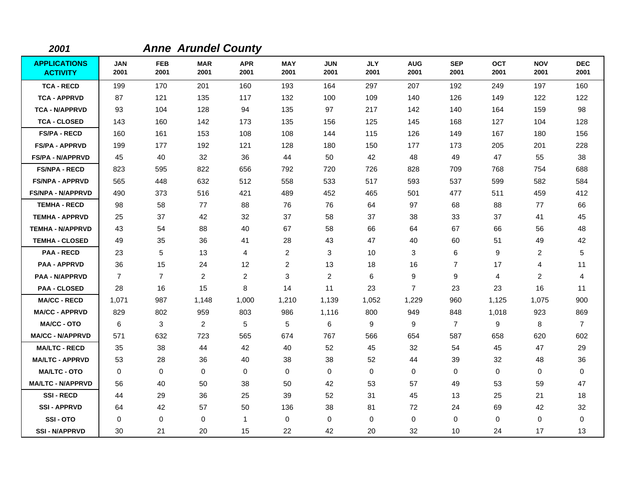| 2001                                   |                    |                    | <b>Anne Arundel County</b> |                    |                    |                    |                    |                    |                    |                    |                    |                    |
|----------------------------------------|--------------------|--------------------|----------------------------|--------------------|--------------------|--------------------|--------------------|--------------------|--------------------|--------------------|--------------------|--------------------|
| <b>APPLICATIONS</b><br><b>ACTIVITY</b> | <b>JAN</b><br>2001 | <b>FEB</b><br>2001 | <b>MAR</b><br>2001         | <b>APR</b><br>2001 | <b>MAY</b><br>2001 | <b>JUN</b><br>2001 | <b>JLY</b><br>2001 | <b>AUG</b><br>2001 | <b>SEP</b><br>2001 | <b>OCT</b><br>2001 | <b>NOV</b><br>2001 | <b>DEC</b><br>2001 |
| <b>TCA - RECD</b>                      | 199                | 170                | 201                        | 160                | 193                | 164                | 297                | 207                | 192                | 249                | 197                | 160                |
| <b>TCA - APPRVD</b>                    | 87                 | 121                | 135                        | 117                | 132                | 100                | 109                | 140                | 126                | 149                | 122                | 122                |
| <b>TCA - N/APPRVD</b>                  | 93                 | 104                | 128                        | 94                 | 135                | 97                 | 217                | 142                | 140                | 164                | 159                | 98                 |
| <b>TCA - CLOSED</b>                    | 143                | 160                | 142                        | 173                | 135                | 156                | 125                | 145                | 168                | 127                | 104                | 128                |
| <b>FS/PA - RECD</b>                    | 160                | 161                | 153                        | 108                | 108                | 144                | 115                | 126                | 149                | 167                | 180                | 156                |
| <b>FS/PA - APPRVD</b>                  | 199                | 177                | 192                        | 121                | 128                | 180                | 150                | 177                | 173                | 205                | 201                | 228                |
| <b>FS/PA - N/APPRVD</b>                | 45                 | 40                 | 32                         | 36                 | 44                 | 50                 | 42                 | 48                 | 49                 | 47                 | 55                 | 38                 |
| <b>FS/NPA - RECD</b>                   | 823                | 595                | 822                        | 656                | 792                | 720                | 726                | 828                | 709                | 768                | 754                | 688                |
| <b>FS/NPA - APPRVD</b>                 | 565                | 448                | 632                        | 512                | 558                | 533                | 517                | 593                | 537                | 599                | 582                | 584                |
| <b>FS/NPA - N/APPRVD</b>               | 490                | 373                | 516                        | 421                | 489                | 452                | 465                | 501                | 477                | 511                | 459                | 412                |
| <b>TEMHA - RECD</b>                    | 98                 | 58                 | 77                         | 88                 | 76                 | 76                 | 64                 | 97                 | 68                 | 88                 | 77                 | 66                 |
| <b>TEMHA - APPRVD</b>                  | 25                 | 37                 | 42                         | 32                 | 37                 | 58                 | 37                 | 38                 | 33                 | 37                 | 41                 | 45                 |
| <b>TEMHA - N/APPRVD</b>                | 43                 | 54                 | 88                         | 40                 | 67                 | 58                 | 66                 | 64                 | 67                 | 66                 | 56                 | 48                 |
| <b>TEMHA - CLOSED</b>                  | 49                 | 35                 | 36                         | 41                 | 28                 | 43                 | 47                 | 40                 | 60                 | 51                 | 49                 | 42                 |
| <b>PAA - RECD</b>                      | 23                 | 5                  | 13                         | 4                  | $\overline{2}$     | 3                  | 10                 | 3                  | 6                  | 9                  | 2                  | 5                  |
| <b>PAA - APPRVD</b>                    | 36                 | 15                 | 24                         | 12                 | $\overline{2}$     | 13                 | 18                 | 16                 | $\overline{7}$     | 17                 | 4                  | 11                 |
| <b>PAA - N/APPRVD</b>                  | $\overline{7}$     | $\overline{7}$     | $\overline{c}$             | $\overline{a}$     | 3                  | $\overline{c}$     | 6                  | 9                  | 9                  | 4                  | $\overline{c}$     | 4                  |
| <b>PAA - CLOSED</b>                    | 28                 | 16                 | 15                         | 8                  | 14                 | 11                 | 23                 | $\overline{7}$     | 23                 | 23                 | 16                 | 11                 |
| <b>MA/CC - RECD</b>                    | 1,071              | 987                | 1,148                      | 1,000              | 1,210              | 1,139              | 1,052              | 1,229              | 960                | 1,125              | 1,075              | 900                |
| <b>MA/CC - APPRVD</b>                  | 829                | 802                | 959                        | 803                | 986                | 1,116              | 800                | 949                | 848                | 1,018              | 923                | 869                |
| <b>MA/CC - OTO</b>                     | 6                  | 3                  | 2                          | 5                  | 5                  | 6                  | 9                  | 9                  | $\overline{7}$     | 9                  | 8                  | $\overline{7}$     |
| <b>MA/CC - N/APPRVD</b>                | 571                | 632                | 723                        | 565                | 674                | 767                | 566                | 654                | 587                | 658                | 620                | 602                |
| <b>MA/LTC - RECD</b>                   | 35                 | 38                 | 44                         | 42                 | 40                 | 52                 | 45                 | 32                 | 54                 | 45                 | 47                 | 29                 |
| <b>MA/LTC - APPRVD</b>                 | 53                 | 28                 | 36                         | 40                 | 38                 | 38                 | 52                 | 44                 | 39                 | 32                 | 48                 | 36                 |
| <b>MA/LTC - OTO</b>                    | $\mathbf 0$        | 0                  | 0                          | 0                  | 0                  | 0                  | 0                  | 0                  | 0                  | 0                  | 0                  | 0                  |
| <b>MA/LTC - N/APPRVD</b>               | 56                 | 40                 | 50                         | 38                 | 50                 | 42                 | 53                 | 57                 | 49                 | 53                 | 59                 | 47                 |
| <b>SSI-RECD</b>                        | 44                 | 29                 | 36                         | 25                 | 39                 | 52                 | 31                 | 45                 | 13                 | 25                 | 21                 | 18                 |
| <b>SSI - APPRVD</b>                    | 64                 | 42                 | 57                         | 50                 | 136                | 38                 | 81                 | 72                 | 24                 | 69                 | 42                 | 32                 |
| SSI-OTO                                | 0                  | 0                  | 0                          | 1                  | 0                  | 0                  | $\mathbf 0$        | 0                  | 0                  | 0                  | 0                  | 0                  |
| <b>SSI-N/APPRVD</b>                    | 30                 | 21                 | 20                         | 15                 | 22                 | 42                 | 20                 | 32                 | 10                 | 24                 | 17                 | 13                 |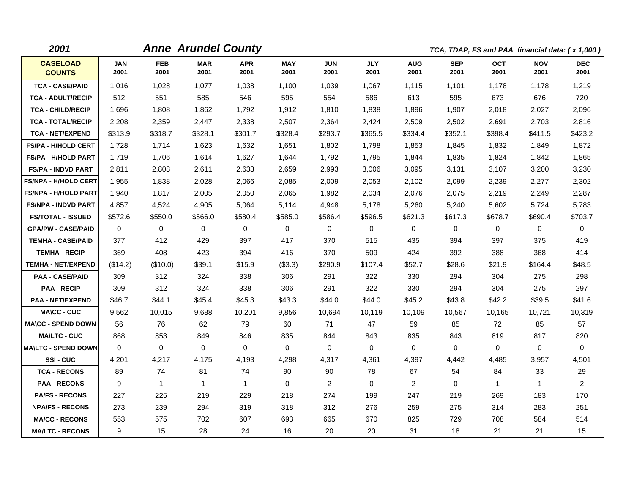| 2001                             |                    |                    | <b>Anne Arundel County</b> |                    |                    |                    |                    |                    | TCA, TDAP, FS and PAA financial data: (x 1,000) |                    |                    |                    |
|----------------------------------|--------------------|--------------------|----------------------------|--------------------|--------------------|--------------------|--------------------|--------------------|-------------------------------------------------|--------------------|--------------------|--------------------|
| <b>CASELOAD</b><br><b>COUNTS</b> | <b>JAN</b><br>2001 | <b>FEB</b><br>2001 | <b>MAR</b><br>2001         | <b>APR</b><br>2001 | <b>MAY</b><br>2001 | <b>JUN</b><br>2001 | <b>JLY</b><br>2001 | <b>AUG</b><br>2001 | <b>SEP</b><br>2001                              | <b>OCT</b><br>2001 | <b>NOV</b><br>2001 | <b>DEC</b><br>2001 |
| <b>TCA - CASE/PAID</b>           | 1,016              | 1,028              | 1,077                      | 1,038              | 1,100              | 1,039              | 1,067              | 1,115              | 1,101                                           | 1,178              | 1,178              | 1,219              |
| <b>TCA - ADULT/RECIP</b>         | 512                | 551                | 585                        | 546                | 595                | 554                | 586                | 613                | 595                                             | 673                | 676                | 720                |
| <b>TCA - CHILD/RECIP</b>         | 1,696              | 1,808              | 1,862                      | 1,792              | 1,912              | 1,810              | 1,838              | 1,896              | 1,907                                           | 2,018              | 2,027              | 2,096              |
| <b>TCA - TOTAL/RECIP</b>         | 2,208              | 2,359              | 2,447                      | 2,338              | 2,507              | 2,364              | 2,424              | 2,509              | 2,502                                           | 2,691              | 2,703              | 2,816              |
| <b>TCA - NET/EXPEND</b>          | \$313.9            | \$318.7            | \$328.1                    | \$301.7            | \$328.4            | \$293.7            | \$365.5            | \$334.4            | \$352.1                                         | \$398.4            | \$411.5            | \$423.2            |
| <b>FS/PA - H/HOLD CERT</b>       | 1,728              | 1,714              | 1,623                      | 1,632              | 1,651              | 1,802              | 1,798              | 1,853              | 1,845                                           | 1,832              | 1,849              | 1,872              |
| FS/PA - H/HOLD PART              | 1,719              | 1,706              | 1,614                      | 1,627              | 1,644              | 1,792              | 1,795              | 1,844              | 1,835                                           | 1,824              | 1,842              | 1,865              |
| <b>FS/PA - INDVD PART</b>        | 2,811              | 2,808              | 2,611                      | 2,633              | 2,659              | 2,993              | 3,006              | 3,095              | 3,131                                           | 3,107              | 3,200              | 3,230              |
| <b>FS/NPA - H/HOLD CERT</b>      | 1,955              | 1,838              | 2,028                      | 2,066              | 2,085              | 2,009              | 2,053              | 2,102              | 2,099                                           | 2,239              | 2,277              | 2,302              |
| <b>FS/NPA - H/HOLD PART</b>      | 1,940              | 1,817              | 2,005                      | 2,050              | 2,065              | 1,982              | 2,034              | 2,076              | 2,075                                           | 2,219              | 2,249              | 2,287              |
| <b>FS/NPA - INDVD PART</b>       | 4,857              | 4,524              | 4,905                      | 5,064              | 5,114              | 4,948              | 5,178              | 5,260              | 5,240                                           | 5,602              | 5,724              | 5,783              |
| <b>FS/TOTAL - ISSUED</b>         | \$572.6            | \$550.0            | \$566.0                    | \$580.4            | \$585.0            | \$586.4            | \$596.5            | \$621.3            | \$617.3                                         | \$678.7            | \$690.4            | \$703.7            |
| <b>GPA/PW - CASE/PAID</b>        | $\mathbf{0}$       | 0                  | $\Omega$                   | $\mathbf 0$        | 0                  | $\Omega$           | 0                  | $\mathbf 0$        | $\mathbf{0}$                                    | $\mathbf 0$        | $\mathbf 0$        | $\mathbf 0$        |
| <b>TEMHA - CASE/PAID</b>         | 377                | 412                | 429                        | 397                | 417                | 370                | 515                | 435                | 394                                             | 397                | 375                | 419                |
| <b>TEMHA - RECIP</b>             | 369                | 408                | 423                        | 394                | 416                | 370                | 509                | 424                | 392                                             | 388                | 368                | 414                |
| <b>TEMHA - NET/EXPEND</b>        | (\$14.2)           | (\$10.0)           | \$39.1                     | \$15.9             | (\$3.3)            | \$290.9            | \$107.4            | \$52.7             | \$28.6                                          | \$21.9             | \$164.4            | \$48.5             |
| <b>PAA - CASE/PAID</b>           | 309                | 312                | 324                        | 338                | 306                | 291                | 322                | 330                | 294                                             | 304                | 275                | 298                |
| <b>PAA - RECIP</b>               | 309                | 312                | 324                        | 338                | 306                | 291                | 322                | 330                | 294                                             | 304                | 275                | 297                |
| <b>PAA - NET/EXPEND</b>          | \$46.7             | \$44.1             | \$45.4                     | \$45.3             | \$43.3             | \$44.0             | \$44.0             | \$45.2             | \$43.8                                          | \$42.2             | \$39.5             | \$41.6             |
| <b>MA\CC - CUC</b>               | 9,562              | 10,015             | 9,688                      | 10,201             | 9,856              | 10,694             | 10,119             | 10,109             | 10,567                                          | 10,165             | 10,721             | 10,319             |
| <b>MA\CC - SPEND DOWN</b>        | 56                 | 76                 | 62                         | 79                 | 60                 | 71                 | 47                 | 59                 | 85                                              | 72                 | 85                 | 57                 |
| <b>MA\LTC - CUC</b>              | 868                | 853                | 849                        | 846                | 835                | 844                | 843                | 835                | 843                                             | 819                | 817                | 820                |
| <b>MA\LTC - SPEND DOWN</b>       | $\Omega$           | 0                  | 0                          | $\mathbf 0$        | $\mathbf 0$        | 0                  | 0                  | $\mathbf 0$        | $\Omega$                                        | $\mathbf 0$        | $\mathbf 0$        | $\mathbf 0$        |
| <b>SSI-CUC</b>                   | 4,201              | 4,217              | 4,175                      | 4,193              | 4,298              | 4,317              | 4,361              | 4,397              | 4,442                                           | 4,485              | 3,957              | 4,501              |
| <b>TCA - RECONS</b>              | 89                 | 74                 | 81                         | 74                 | 90                 | 90                 | 78                 | 67                 | 54                                              | 84                 | 33                 | 29                 |
| <b>PAA - RECONS</b>              | 9                  | $\mathbf{1}$       | $\mathbf{1}$               | $\mathbf{1}$       | $\mathbf 0$        | $\overline{2}$     | $\Omega$           | 2                  | 0                                               | $\mathbf{1}$       | $\mathbf{1}$       | $\overline{2}$     |
| <b>PA/FS - RECONS</b>            | 227                | 225                | 219                        | 229                | 218                | 274                | 199                | 247                | 219                                             | 269                | 183                | 170                |
| <b>NPA/FS - RECONS</b>           | 273                | 239                | 294                        | 319                | 318                | 312                | 276                | 259                | 275                                             | 314                | 283                | 251                |
| <b>MA/CC - RECONS</b>            | 553                | 575                | 702                        | 607                | 693                | 665                | 670                | 825                | 729                                             | 708                | 584                | 514                |
| <b>MA/LTC - RECONS</b>           | 9                  | 15                 | 28                         | 24                 | 16                 | 20                 | 20                 | 31                 | 18                                              | 21                 | 21                 | 15                 |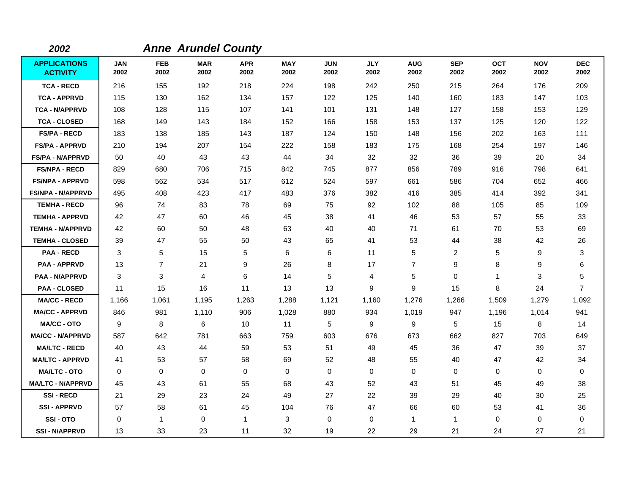| 2002                                   |                    |                    | <b>Anne Arundel County</b> |                    |                    |                    |                    |                    |                    |                    |                    |                    |
|----------------------------------------|--------------------|--------------------|----------------------------|--------------------|--------------------|--------------------|--------------------|--------------------|--------------------|--------------------|--------------------|--------------------|
| <b>APPLICATIONS</b><br><b>ACTIVITY</b> | <b>JAN</b><br>2002 | <b>FEB</b><br>2002 | <b>MAR</b><br>2002         | <b>APR</b><br>2002 | <b>MAY</b><br>2002 | <b>JUN</b><br>2002 | <b>JLY</b><br>2002 | <b>AUG</b><br>2002 | <b>SEP</b><br>2002 | <b>OCT</b><br>2002 | <b>NOV</b><br>2002 | <b>DEC</b><br>2002 |
| <b>TCA - RECD</b>                      | 216                | 155                | 192                        | 218                | 224                | 198                | 242                | 250                | 215                | 264                | 176                | 209                |
| <b>TCA - APPRVD</b>                    | 115                | 130                | 162                        | 134                | 157                | 122                | 125                | 140                | 160                | 183                | 147                | 103                |
| <b>TCA - N/APPRVD</b>                  | 108                | 128                | 115                        | 107                | 141                | 101                | 131                | 148                | 127                | 158                | 153                | 129                |
| <b>TCA - CLOSED</b>                    | 168                | 149                | 143                        | 184                | 152                | 166                | 158                | 153                | 137                | 125                | 120                | 122                |
| <b>FS/PA - RECD</b>                    | 183                | 138                | 185                        | 143                | 187                | 124                | 150                | 148                | 156                | 202                | 163                | 111                |
| <b>FS/PA - APPRVD</b>                  | 210                | 194                | 207                        | 154                | 222                | 158                | 183                | 175                | 168                | 254                | 197                | 146                |
| <b>FS/PA - N/APPRVD</b>                | 50                 | 40                 | 43                         | 43                 | 44                 | 34                 | 32                 | 32                 | 36                 | 39                 | 20                 | 34                 |
| <b>FS/NPA - RECD</b>                   | 829                | 680                | 706                        | 715                | 842                | 745                | 877                | 856                | 789                | 916                | 798                | 641                |
| <b>FS/NPA - APPRVD</b>                 | 598                | 562                | 534                        | 517                | 612                | 524                | 597                | 661                | 586                | 704                | 652                | 466                |
| <b>FS/NPA - N/APPRVD</b>               | 495                | 408                | 423                        | 417                | 483                | 376                | 382                | 416                | 385                | 414                | 392                | 341                |
| <b>TEMHA - RECD</b>                    | 96                 | 74                 | 83                         | 78                 | 69                 | 75                 | 92                 | 102                | 88                 | 105                | 85                 | 109                |
| <b>TEMHA - APPRVD</b>                  | 42                 | 47                 | 60                         | 46                 | 45                 | 38                 | 41                 | 46                 | 53                 | 57                 | 55                 | 33                 |
| <b>TEMHA - N/APPRVD</b>                | 42                 | 60                 | 50                         | 48                 | 63                 | 40                 | 40                 | 71                 | 61                 | 70                 | 53                 | 69                 |
| <b>TEMHA - CLOSED</b>                  | 39                 | 47                 | 55                         | 50                 | 43                 | 65                 | 41                 | 53                 | 44                 | 38                 | 42                 | 26                 |
| <b>PAA - RECD</b>                      | 3                  | 5                  | 15                         | 5                  | 6                  | 6                  | 11                 | 5                  | $\overline{2}$     | 5                  | 9                  | 3                  |
| <b>PAA - APPRVD</b>                    | 13                 | $\overline{7}$     | 21                         | 9                  | 26                 | 8                  | 17                 | $\overline{7}$     | 9                  | 8                  | 9                  | 6                  |
| <b>PAA - N/APPRVD</b>                  | 3                  | 3                  | 4                          | 6                  | 14                 | 5                  | 4                  | 5                  | 0                  | 1                  | 3                  | 5                  |
| <b>PAA - CLOSED</b>                    | 11                 | 15                 | 16                         | 11                 | 13                 | 13                 | 9                  | 9                  | 15                 | 8                  | 24                 | $\overline{7}$     |
| <b>MA/CC - RECD</b>                    | 1,166              | 1,061              | 1,195                      | 1,263              | 1,288              | 1,121              | 1,160              | 1,276              | 1,266              | 1,509              | 1,279              | 1,092              |
| <b>MA/CC - APPRVD</b>                  | 846                | 981                | 1,110                      | 906                | 1,028              | 880                | 934                | 1,019              | 947                | 1,196              | 1,014              | 941                |
| <b>MA/CC - OTO</b>                     | 9                  | 8                  | 6                          | 10                 | 11                 | 5                  | 9                  | 9                  | 5                  | 15                 | 8                  | 14                 |
| <b>MA/CC - N/APPRVD</b>                | 587                | 642                | 781                        | 663                | 759                | 603                | 676                | 673                | 662                | 827                | 703                | 649                |
| <b>MA/LTC - RECD</b>                   | 40                 | 43                 | 44                         | 59                 | 53                 | 51                 | 49                 | 45                 | 36                 | 47                 | 39                 | 37                 |
| <b>MA/LTC - APPRVD</b>                 | 41                 | 53                 | 57                         | 58                 | 69                 | 52                 | 48                 | 55                 | 40                 | 47                 | 42                 | 34                 |
| <b>MA/LTC - OTO</b>                    | 0                  | 0                  | $\mathbf 0$                | 0                  | 0                  | $\mathbf 0$        | 0                  | 0                  | $\mathbf 0$        | 0                  | 0                  | 0                  |
| <b>MA/LTC - N/APPRVD</b>               | 45                 | 43                 | 61                         | 55                 | 68                 | 43                 | 52                 | 43                 | 51                 | 45                 | 49                 | 38                 |
| <b>SSI-RECD</b>                        | 21                 | 29                 | 23                         | 24                 | 49                 | 27                 | 22                 | 39                 | 29                 | 40                 | 30                 | 25                 |
| <b>SSI-APPRVD</b>                      | 57                 | 58                 | 61                         | 45                 | 104                | 76                 | 47                 | 66                 | 60                 | 53                 | 41                 | 36                 |
| SSI-OTO                                | 0                  | $\mathbf{1}$       | $\mathbf 0$                | $\mathbf{1}$       | 3                  | $\mathbf 0$        | 0                  | $\mathbf{1}$       | $\mathbf{1}$       | 0                  | 0                  | 0                  |
| <b>SSI-N/APPRVD</b>                    | 13                 | 33                 | 23                         | 11                 | 32                 | 19                 | 22                 | 29                 | 21                 | 24                 | 27                 | 21                 |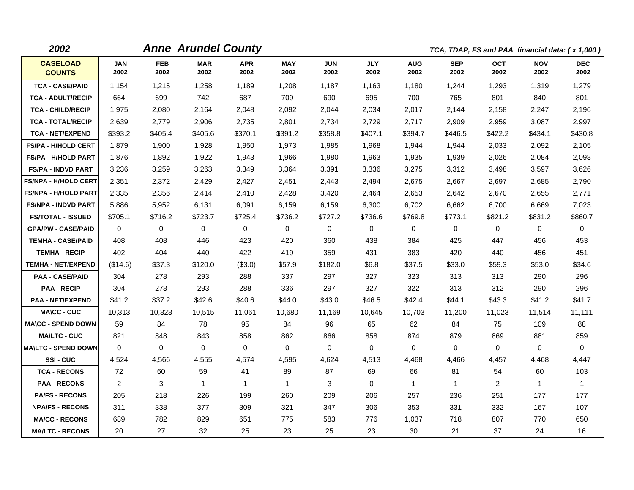| 2002                             |                    |                    | <b>Anne Arundel County</b> |                    |                    |                    |                    |                    | TCA, TDAP, FS and PAA financial data: (x 1,000) |                    |                    |                    |
|----------------------------------|--------------------|--------------------|----------------------------|--------------------|--------------------|--------------------|--------------------|--------------------|-------------------------------------------------|--------------------|--------------------|--------------------|
| <b>CASELOAD</b><br><b>COUNTS</b> | <b>JAN</b><br>2002 | <b>FEB</b><br>2002 | <b>MAR</b><br>2002         | <b>APR</b><br>2002 | <b>MAY</b><br>2002 | <b>JUN</b><br>2002 | <b>JLY</b><br>2002 | <b>AUG</b><br>2002 | <b>SEP</b><br>2002                              | <b>OCT</b><br>2002 | <b>NOV</b><br>2002 | <b>DEC</b><br>2002 |
| <b>TCA - CASE/PAID</b>           | 1,154              | 1,215              | 1,258                      | 1,189              | 1,208              | 1,187              | 1,163              | 1,180              | 1,244                                           | 1,293              | 1,319              | 1,279              |
| <b>TCA - ADULT/RECIP</b>         | 664                | 699                | 742                        | 687                | 709                | 690                | 695                | 700                | 765                                             | 801                | 840                | 801                |
| <b>TCA - CHILD/RECIP</b>         | 1,975              | 2,080              | 2,164                      | 2,048              | 2,092              | 2,044              | 2,034              | 2,017              | 2,144                                           | 2,158              | 2,247              | 2,196              |
| <b>TCA - TOTAL/RECIP</b>         | 2,639              | 2,779              | 2,906                      | 2,735              | 2,801              | 2,734              | 2,729              | 2,717              | 2,909                                           | 2,959              | 3,087              | 2,997              |
| <b>TCA - NET/EXPEND</b>          | \$393.2            | \$405.4            | \$405.6                    | \$370.1            | \$391.2            | \$358.8            | \$407.1            | \$394.7            | \$446.5                                         | \$422.2            | \$434.1            | \$430.8            |
| <b>FS/PA - H/HOLD CERT</b>       | 1,879              | 1,900              | 1,928                      | 1,950              | 1,973              | 1,985              | 1,968              | 1,944              | 1,944                                           | 2,033              | 2,092              | 2,105              |
| <b>FS/PA - H/HOLD PART</b>       | 1,876              | 1,892              | 1,922                      | 1,943              | 1,966              | 1,980              | 1,963              | 1,935              | 1,939                                           | 2,026              | 2,084              | 2,098              |
| <b>FS/PA - INDVD PART</b>        | 3,236              | 3,259              | 3,263                      | 3,349              | 3,364              | 3,391              | 3,336              | 3,275              | 3,312                                           | 3,498              | 3,597              | 3,626              |
| <b>FS/NPA - H/HOLD CERT</b>      | 2,351              | 2,372              | 2,429                      | 2,427              | 2,451              | 2,443              | 2,494              | 2,675              | 2,667                                           | 2,697              | 2,685              | 2,790              |
| <b>FS/NPA - H/HOLD PART</b>      | 2,335              | 2,356              | 2,414                      | 2,410              | 2,428              | 3,420              | 2,464              | 2,653              | 2,642                                           | 2,670              | 2,655              | 2,771              |
| <b>FS/NPA - INDVD PART</b>       | 5,886              | 5,952              | 6,131                      | 6,091              | 6,159              | 6,159              | 6,300              | 6,702              | 6,662                                           | 6,700              | 6,669              | 7,023              |
| <b>FS/TOTAL - ISSUED</b>         | \$705.1            | \$716.2            | \$723.7                    | \$725.4            | \$736.2            | \$727.2            | \$736.6            | \$769.8            | \$773.1                                         | \$821.2            | \$831.2            | \$860.7            |
| <b>GPA/PW - CASE/PAID</b>        | 0                  | $\mathbf 0$        | $\mathbf 0$                | $\mathbf 0$        | 0                  | $\mathbf 0$        | 0                  | 0                  | 0                                               | $\mathbf 0$        | $\mathbf 0$        | $\mathbf 0$        |
| <b>TEMHA - CASE/PAID</b>         | 408                | 408                | 446                        | 423                | 420                | 360                | 438                | 384                | 425                                             | 447                | 456                | 453                |
| <b>TEMHA - RECIP</b>             | 402                | 404                | 440                        | 422                | 419                | 359                | 431                | 383                | 420                                             | 440                | 456                | 451                |
| <b>TEMHA - NET/EXPEND</b>        | (\$14.6)           | \$37.3             | \$120.0                    | (\$3.0)            | \$57.9             | \$182.0            | \$6.8              | \$37.5             | \$33.0                                          | \$59.3             | \$53.0             | \$34.6             |
| <b>PAA - CASE/PAID</b>           | 304                | 278                | 293                        | 288                | 337                | 297                | 327                | 323                | 313                                             | 313                | 290                | 296                |
| <b>PAA - RECIP</b>               | 304                | 278                | 293                        | 288                | 336                | 297                | 327                | 322                | 313                                             | 312                | 290                | 296                |
| <b>PAA - NET/EXPEND</b>          | \$41.2             | \$37.2             | \$42.6                     | \$40.6             | \$44.0             | \$43.0             | \$46.5             | \$42.4             | \$44.1                                          | \$43.3             | \$41.2             | \$41.7             |
| <b>MA\CC - CUC</b>               | 10,313             | 10,828             | 10,515                     | 11,061             | 10,680             | 11,169             | 10,645             | 10,703             | 11,200                                          | 11,023             | 11,514             | 11,111             |
| <b>MA\CC - SPEND DOWN</b>        | 59                 | 84                 | 78                         | 95                 | 84                 | 96                 | 65                 | 62                 | 84                                              | 75                 | 109                | 88                 |
| <b>MA\LTC - CUC</b>              | 821                | 848                | 843                        | 858                | 862                | 866                | 858                | 874                | 879                                             | 869                | 881                | 859                |
| <b>MAILTC - SPEND DOWN</b>       | $\mathbf 0$        | $\mathbf 0$        | 0                          | $\mathbf 0$        | 0                  | $\mathbf 0$        | 0                  | 0                  | 0                                               | $\mathbf 0$        | $\mathbf 0$        | 0                  |
| SSI-CUC                          | 4,524              | 4,566              | 4,555                      | 4,574              | 4,595              | 4,624              | 4,513              | 4,468              | 4,466                                           | 4,457              | 4,468              | 4,447              |
| <b>TCA - RECONS</b>              | 72                 | 60                 | 59                         | 41                 | 89                 | 87                 | 69                 | 66                 | 81                                              | 54                 | 60                 | 103                |
| <b>PAA - RECONS</b>              | $\overline{2}$     | 3                  | $\mathbf 1$                | $\mathbf{1}$       | $\mathbf 1$        | 3                  | $\Omega$           | $\mathbf{1}$       | $\mathbf{1}$                                    | $\overline{2}$     | $\mathbf{1}$       | $\mathbf{1}$       |
| <b>PA/FS - RECONS</b>            | 205                | 218                | 226                        | 199                | 260                | 209                | 206                | 257                | 236                                             | 251                | 177                | 177                |
| <b>NPA/FS - RECONS</b>           | 311                | 338                | 377                        | 309                | 321                | 347                | 306                | 353                | 331                                             | 332                | 167                | 107                |
| <b>MA/CC - RECONS</b>            | 689                | 782                | 829                        | 651                | 775                | 583                | 776                | 1,037              | 718                                             | 807                | 770                | 650                |
| <b>MA/LTC - RECONS</b>           | 20                 | 27                 | 32                         | 25                 | 23                 | 25                 | 23                 | 30                 | 21                                              | 37                 | 24                 | 16                 |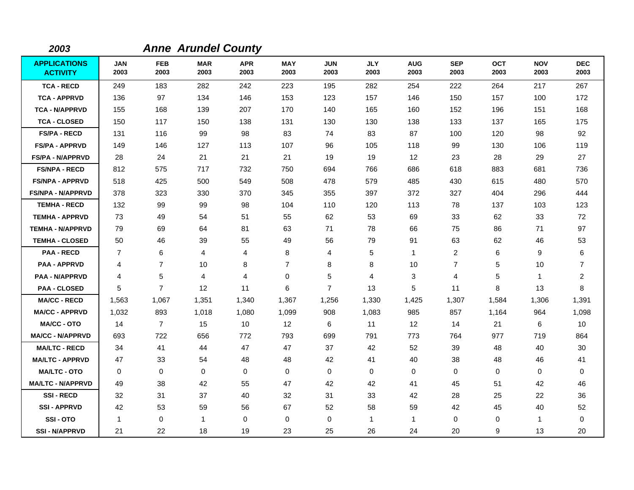| 2003                                   |                    |                    | <b>Anne Arundel County</b> |                    |                    |                    |                    |                    |                    |                    |                    |                    |
|----------------------------------------|--------------------|--------------------|----------------------------|--------------------|--------------------|--------------------|--------------------|--------------------|--------------------|--------------------|--------------------|--------------------|
| <b>APPLICATIONS</b><br><b>ACTIVITY</b> | <b>JAN</b><br>2003 | <b>FEB</b><br>2003 | <b>MAR</b><br>2003         | <b>APR</b><br>2003 | <b>MAY</b><br>2003 | <b>JUN</b><br>2003 | <b>JLY</b><br>2003 | <b>AUG</b><br>2003 | <b>SEP</b><br>2003 | <b>OCT</b><br>2003 | <b>NOV</b><br>2003 | <b>DEC</b><br>2003 |
| <b>TCA - RECD</b>                      | 249                | 183                | 282                        | 242                | 223                | 195                | 282                | 254                | 222                | 264                | 217                | 267                |
| <b>TCA - APPRVD</b>                    | 136                | 97                 | 134                        | 146                | 153                | 123                | 157                | 146                | 150                | 157                | 100                | 172                |
| <b>TCA - N/APPRVD</b>                  | 155                | 168                | 139                        | 207                | 170                | 140                | 165                | 160                | 152                | 196                | 151                | 168                |
| <b>TCA - CLOSED</b>                    | 150                | 117                | 150                        | 138                | 131                | 130                | 130                | 138                | 133                | 137                | 165                | 175                |
| <b>FS/PA - RECD</b>                    | 131                | 116                | 99                         | 98                 | 83                 | 74                 | 83                 | 87                 | 100                | 120                | 98                 | 92                 |
| <b>FS/PA - APPRVD</b>                  | 149                | 146                | 127                        | 113                | 107                | 96                 | 105                | 118                | 99                 | 130                | 106                | 119                |
| <b>FS/PA - N/APPRVD</b>                | 28                 | 24                 | 21                         | 21                 | 21                 | 19                 | 19                 | 12                 | 23                 | 28                 | 29                 | 27                 |
| <b>FS/NPA - RECD</b>                   | 812                | 575                | 717                        | 732                | 750                | 694                | 766                | 686                | 618                | 883                | 681                | 736                |
| <b>FS/NPA - APPRVD</b>                 | 518                | 425                | 500                        | 549                | 508                | 478                | 579                | 485                | 430                | 615                | 480                | 570                |
| <b>FS/NPA - N/APPRVD</b>               | 378                | 323                | 330                        | 370                | 345                | 355                | 397                | 372                | 327                | 404                | 296                | 444                |
| <b>TEMHA - RECD</b>                    | 132                | 99                 | 99                         | 98                 | 104                | 110                | 120                | 113                | 78                 | 137                | 103                | 123                |
| <b>TEMHA - APPRVD</b>                  | 73                 | 49                 | 54                         | 51                 | 55                 | 62                 | 53                 | 69                 | 33                 | 62                 | 33                 | 72                 |
| <b>TEMHA - N/APPRVD</b>                | 79                 | 69                 | 64                         | 81                 | 63                 | 71                 | 78                 | 66                 | 75                 | 86                 | 71                 | 97                 |
| <b>TEMHA - CLOSED</b>                  | 50                 | 46                 | 39                         | 55                 | 49                 | 56                 | 79                 | 91                 | 63                 | 62                 | 46                 | 53                 |
| <b>PAA - RECD</b>                      | $\overline{7}$     | 6                  | 4                          | 4                  | 8                  | 4                  | 5                  | $\mathbf{1}$       | $\overline{2}$     | 6                  | 9                  | 6                  |
| <b>PAA - APPRVD</b>                    | 4                  | $\overline{7}$     | 10                         | 8                  | $\overline{7}$     | 8                  | 8                  | 10                 | $\overline{7}$     | 5                  | 10                 | $\overline{7}$     |
| <b>PAA - N/APPRVD</b>                  | 4                  | 5                  | 4                          | 4                  | 0                  | 5                  | 4                  | 3                  | 4                  | 5                  | 1                  | $\overline{2}$     |
| <b>PAA - CLOSED</b>                    | 5                  | $\overline{7}$     | 12                         | 11                 | 6                  | $\overline{7}$     | 13                 | 5                  | 11                 | 8                  | 13                 | 8                  |
| <b>MA/CC - RECD</b>                    | 1,563              | 1,067              | 1,351                      | 1,340              | 1,367              | 1,256              | 1,330              | 1,425              | 1,307              | 1,584              | 1,306              | 1,391              |
| <b>MA/CC - APPRVD</b>                  | 1,032              | 893                | 1,018                      | 1,080              | 1,099              | 908                | 1,083              | 985                | 857                | 1,164              | 964                | 1,098              |
| <b>MA/CC - OTO</b>                     | 14                 | $\overline{7}$     | 15                         | 10                 | 12                 | 6                  | 11                 | 12                 | 14                 | 21                 | 6                  | 10                 |
| <b>MA/CC - N/APPRVD</b>                | 693                | 722                | 656                        | 772                | 793                | 699                | 791                | 773                | 764                | 977                | 719                | 864                |
| <b>MA/LTC - RECD</b>                   | 34                 | 41                 | 44                         | 47                 | 47                 | 37                 | 42                 | 52                 | 39                 | 48                 | 40                 | 30                 |
| <b>MA/LTC - APPRVD</b>                 | 47                 | 33                 | 54                         | 48                 | 48                 | 42                 | 41                 | 40                 | 38                 | 48                 | 46                 | 41                 |
| <b>MA/LTC - OTO</b>                    | $\mathbf 0$        | 0                  | $\mathbf 0$                | 0                  | 0                  | 0                  | 0                  | 0                  | 0                  | 0                  | 0                  | 0                  |
| <b>MA/LTC - N/APPRVD</b>               | 49                 | 38                 | 42                         | 55                 | 47                 | 42                 | 42                 | 41                 | 45                 | 51                 | 42                 | 46                 |
| <b>SSI-RECD</b>                        | 32                 | 31                 | 37                         | 40                 | 32                 | 31                 | 33                 | 42                 | 28                 | 25                 | 22                 | 36                 |
| <b>SSI-APPRVD</b>                      | 42                 | 53                 | 59                         | 56                 | 67                 | 52                 | 58                 | 59                 | 42                 | 45                 | 40                 | 52                 |
| SSI-OTO                                | $\mathbf 1$        | 0                  | $\overline{1}$             | 0                  | 0                  | 0                  | 1                  | $\mathbf{1}$       | 0                  | 0                  | 1                  | 0                  |
| <b>SSI - N/APPRVD</b>                  | 21                 | 22                 | 18                         | 19                 | 23                 | 25                 | 26                 | 24                 | 20                 | 9                  | 13                 | 20                 |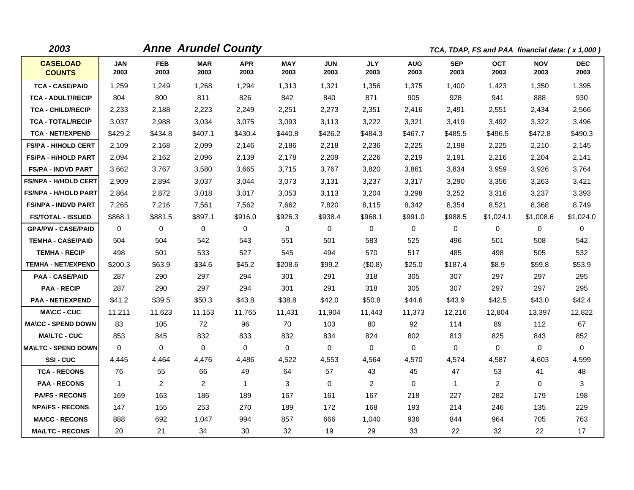| 2003                             |                    |                    | <b>Anne Arundel County</b> |                    |                    |                    |                    |                    |                    | TCA, TDAP, FS and PAA financial data: (x 1,000) |                    |                    |
|----------------------------------|--------------------|--------------------|----------------------------|--------------------|--------------------|--------------------|--------------------|--------------------|--------------------|-------------------------------------------------|--------------------|--------------------|
| <b>CASELOAD</b><br><b>COUNTS</b> | <b>JAN</b><br>2003 | <b>FEB</b><br>2003 | <b>MAR</b><br>2003         | <b>APR</b><br>2003 | <b>MAY</b><br>2003 | <b>JUN</b><br>2003 | <b>JLY</b><br>2003 | <b>AUG</b><br>2003 | <b>SEP</b><br>2003 | <b>OCT</b><br>2003                              | <b>NOV</b><br>2003 | <b>DEC</b><br>2003 |
| <b>TCA - CASE/PAID</b>           | 1,259              | 1,249              | 1,268                      | 1,294              | 1,313              | 1,321              | 1,356              | 1,375              | 1,400              | 1,423                                           | 1,350              | 1,395              |
| <b>TCA - ADULT/RECIP</b>         | 804                | 800                | 811                        | 826                | 842                | 840                | 871                | 905                | 928                | 941                                             | 888                | 930                |
| <b>TCA - CHILD/RECIP</b>         | 2,233              | 2,188              | 2,223                      | 2,249              | 2,251              | 2,273              | 2,351              | 2,416              | 2,491              | 2,551                                           | 2,434              | 2,566              |
| <b>TCA - TOTAL/RECIP</b>         | 3,037              | 2,988              | 3,034                      | 3,075              | 3,093              | 3,113              | 3,222              | 3,321              | 3,419              | 3,492                                           | 3,322              | 3,496              |
| <b>TCA - NET/EXPEND</b>          | \$429.2            | \$434.8            | \$407.1                    | \$430.4            | \$440.8            | \$426.2            | \$484.3            | \$467.7            | \$485.5            | \$496.5                                         | \$472.8            | \$490.3            |
| <b>FS/PA - H/HOLD CERT</b>       | 2,109              | 2,168              | 2,099                      | 2,146              | 2,186              | 2,218              | 2,236              | 2,225              | 2,198              | 2,225                                           | 2,210              | 2,145              |
| <b>FS/PA - H/HOLD PART</b>       | 2,094              | 2,162              | 2,096                      | 2,139              | 2,178              | 2,209              | 2,226              | 2,219              | 2,191              | 2,216                                           | 2,204              | 2,141              |
| <b>FS/PA - INDVD PART</b>        | 3,662              | 3,767              | 3,580                      | 3,665              | 3,715              | 3,767              | 3,820              | 3,861              | 3,834              | 3,959                                           | 3,926              | 3,764              |
| <b>FS/NPA - H/HOLD CERT</b>      | 2,909              | 2,894              | 3,037                      | 3.044              | 3,073              | 3,131              | 3,237              | 3,317              | 3,290              | 3,356                                           | 3,263              | 3,421              |
| <b>FS/NPA - H/HOLD PART</b>      | 2,864              | 2,872              | 3,018                      | 3,017              | 3,053              | 3,113              | 3,204              | 3,298              | 3,252              | 3,316                                           | 3,237              | 3,393              |
| <b>FS/NPA - INDVD PART</b>       | 7,265              | 7,216              | 7,561                      | 7,562              | 7,662              | 7,820              | 8,115              | 8,342              | 8,354              | 8,521                                           | 8,368              | 8,749              |
| <b>FS/TOTAL - ISSUED</b>         | \$868.1            | \$881.5            | \$897.1                    | \$916.0            | \$926.3            | \$938.4            | \$968.1            | \$991.0            | \$988.5            | \$1,024.1                                       | \$1,008.6          | \$1,024.0          |
| <b>GPA/PW - CASE/PAID</b>        | $\Omega$           | $\Omega$           | $\mathbf{0}$               | $\mathbf 0$        | 0                  | $\Omega$           | 0                  | 0                  | $\Omega$           | 0                                               | 0                  | 0                  |
| <b>TEMHA - CASE/PAID</b>         | 504                | 504                | 542                        | 543                | 551                | 501                | 583                | 525                | 496                | 501                                             | 508                | 542                |
| <b>TEMHA - RECIP</b>             | 498                | 501                | 533                        | 527                | 545                | 494                | 570                | 517                | 485                | 498                                             | 505                | 532                |
| <b>TEMHA - NET/EXPEND</b>        | \$200.3            | \$63.9             | \$34.6                     | \$45.2             | \$208.6            | \$99.2             | (\$0.8)            | \$25.0             | \$187.4            | \$8.9                                           | \$59.8             | \$53.9             |
| <b>PAA - CASE/PAID</b>           | 287                | 290                | 297                        | 294                | 301                | 291                | 318                | 305                | 307                | 297                                             | 297                | 295                |
| <b>PAA - RECIP</b>               | 287                | 290                | 297                        | 294                | 301                | 291                | 318                | 305                | 307                | 297                                             | 297                | 295                |
| <b>PAA - NET/EXPEND</b>          | \$41.2             | \$39.5             | \$50.3                     | \$43.8             | \$38.8             | \$42.0             | \$50.8             | \$44.6             | \$43.9             | \$42.5                                          | \$43.0             | \$42.4             |
| <b>MA\CC - CUC</b>               | 11,211             | 11,623             | 11,153                     | 11,765             | 11,431             | 11,904             | 11,443             | 11,373             | 12,216             | 12,804                                          | 13,397             | 12,822             |
| <b>MA\CC - SPEND DOWN</b>        | 83                 | 105                | 72                         | 96                 | 70                 | 103                | 80                 | 92                 | 114                | 89                                              | 112                | 67                 |
| <b>MAILTC - CUC</b>              | 853                | 845                | 832                        | 833                | 832                | 834                | 824                | 802                | 813                | 825                                             | 843                | 852                |
| <b>MA\LTC - SPEND DOWN</b>       | $\mathbf 0$        | $\mathbf 0$        | $\mathbf 0$                | $\mathbf 0$        | 0                  | $\mathbf 0$        | 0                  | 0                  | 0                  | $\mathbf 0$                                     | $\mathbf 0$        | $\mathbf 0$        |
| <b>SSI-CUC</b>                   | 4,445              | 4,464              | 4.476                      | 4,486              | 4,522              | 4,553              | 4,564              | 4,570              | 4,574              | 4,587                                           | 4,603              | 4,599              |
| <b>TCA - RECONS</b>              | 76                 | 55                 | 66                         | 49                 | 64                 | 57                 | 43                 | 45                 | 47                 | 53                                              | 41                 | 48                 |
| <b>PAA - RECONS</b>              | $\mathbf{1}$       | $\overline{2}$     | $\overline{2}$             | $\mathbf 1$        | 3                  | $\Omega$           | 2                  | $\Omega$           | $\mathbf{1}$       | $\overline{2}$                                  | $\mathbf{0}$       | 3                  |
| <b>PA/FS - RECONS</b>            | 169                | 163                | 186                        | 189                | 167                | 161                | 167                | 218                | 227                | 282                                             | 179                | 198                |
| <b>NPA/FS - RECONS</b>           | 147                | 155                | 253                        | 270                | 189                | 172                | 168                | 193                | 214                | 246                                             | 135                | 229                |
| <b>MA/CC - RECONS</b>            | 888                | 692                | 1.047                      | 994                | 857                | 666                | 1,040              | 936                | 844                | 964                                             | 705                | 763                |
| <b>MA/LTC - RECONS</b>           | 20                 | 21                 | 34                         | 30                 | 32                 | 19                 | 29                 | 33                 | 22                 | 32                                              | 22                 | 17                 |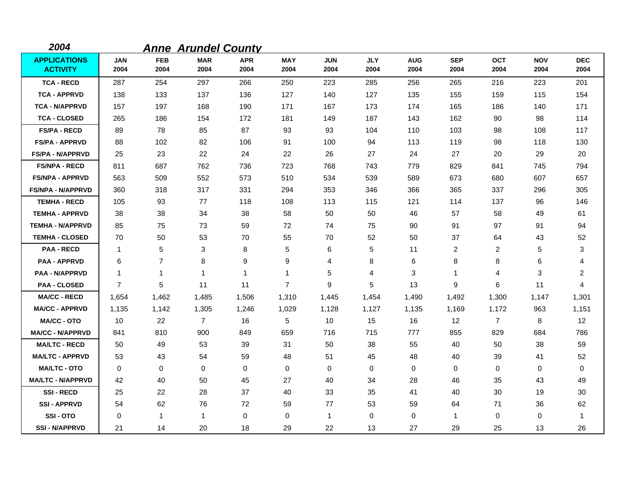| 2004                                   |                    |                    | <b>Anne Arundel County</b> |                    |                    |                    |                    |                    |                    |                    |                    |                    |
|----------------------------------------|--------------------|--------------------|----------------------------|--------------------|--------------------|--------------------|--------------------|--------------------|--------------------|--------------------|--------------------|--------------------|
| <b>APPLICATIONS</b><br><b>ACTIVITY</b> | <b>JAN</b><br>2004 | <b>FEB</b><br>2004 | <b>MAR</b><br>2004         | <b>APR</b><br>2004 | <b>MAY</b><br>2004 | <b>JUN</b><br>2004 | <b>JLY</b><br>2004 | <b>AUG</b><br>2004 | <b>SEP</b><br>2004 | <b>OCT</b><br>2004 | <b>NOV</b><br>2004 | <b>DEC</b><br>2004 |
| <b>TCA - RECD</b>                      | 287                | 254                | 297                        | 266                | 250                | 223                | 285                | 256                | 265                | 216                | 223                | 201                |
| <b>TCA - APPRVD</b>                    | 138                | 133                | 137                        | 136                | 127                | 140                | 127                | 135                | 155                | 159                | 115                | 154                |
| <b>TCA - N/APPRVD</b>                  | 157                | 197                | 168                        | 190                | 171                | 167                | 173                | 174                | 165                | 186                | 140                | 171                |
| <b>TCA - CLOSED</b>                    | 265                | 186                | 154                        | 172                | 181                | 149                | 187                | 143                | 162                | 90                 | 98                 | 114                |
| <b>FS/PA - RECD</b>                    | 89                 | 78                 | 85                         | 87                 | 93                 | 93                 | 104                | 110                | 103                | 98                 | 108                | 117                |
| <b>FS/PA - APPRVD</b>                  | 88                 | 102                | 82                         | 106                | 91                 | 100                | 94                 | 113                | 119                | 98                 | 118                | 130                |
| <b>FS/PA - N/APPRVD</b>                | 25                 | 23                 | 22                         | 24                 | 22                 | 26                 | 27                 | 24                 | 27                 | 20                 | 29                 | 20                 |
| <b>FS/NPA - RECD</b>                   | 811                | 687                | 762                        | 736                | 723                | 768                | 743                | 779                | 829                | 841                | 745                | 794                |
| <b>FS/NPA - APPRVD</b>                 | 563                | 509                | 552                        | 573                | 510                | 534                | 539                | 589                | 673                | 680                | 607                | 657                |
| <b>FS/NPA - N/APPRVD</b>               | 360                | 318                | 317                        | 331                | 294                | 353                | 346                | 366                | 365                | 337                | 296                | 305                |
| <b>TEMHA - RECD</b>                    | 105                | 93                 | 77                         | 118                | 108                | 113                | 115                | 121                | 114                | 137                | 96                 | 146                |
| <b>TEMHA - APPRVD</b>                  | 38                 | 38                 | 34                         | 38                 | 58                 | 50                 | 50                 | 46                 | 57                 | 58                 | 49                 | 61                 |
| <b>TEMHA - N/APPRVD</b>                | 85                 | 75                 | 73                         | 59                 | 72                 | 74                 | 75                 | 90                 | 91                 | 97                 | 91                 | 94                 |
| <b>TEMHA - CLOSED</b>                  | 70                 | 50                 | 53                         | 70                 | 55                 | 70                 | 52                 | 50                 | 37                 | 64                 | 43                 | 52                 |
| <b>PAA - RECD</b>                      | $\mathbf 1$        | 5                  | 3                          | 8                  | 5                  | 6                  | 5                  | 11                 | 2                  | 2                  | 5                  | 3                  |
| <b>PAA - APPRVD</b>                    | 6                  | $\overline{7}$     | 8                          | 9                  | 9                  | 4                  | 8                  | 6                  | 8                  | 8                  | 6                  | 4                  |
| <b>PAA - N/APPRVD</b>                  | $\mathbf{1}$       | $\mathbf{1}$       | $\mathbf{1}$               | 1                  | $\mathbf{1}$       | 5                  | 4                  | 3                  | $\mathbf 1$        | 4                  | 3                  | $\overline{c}$     |
| <b>PAA - CLOSED</b>                    | $\overline{7}$     | 5                  | 11                         | 11                 | $\overline{7}$     | 9                  | 5                  | 13                 | 9                  | 6                  | 11                 | 4                  |
| <b>MA/CC - RECD</b>                    | 1,654              | 1,462              | 1,485                      | 1,506              | 1,310              | 1,445              | 1,454              | 1,490              | 1,492              | 1,300              | 1,147              | 1,301              |
| <b>MA/CC - APPRVD</b>                  | 1,135              | 1,142              | 1,305                      | 1,246              | 1,029              | 1,128              | 1,127              | 1,135              | 1,169              | 1,172              | 963                | 1,151              |
| <b>MA/CC - OTO</b>                     | 10                 | 22                 | $\overline{7}$             | 16                 | 5                  | 10                 | 15                 | 16                 | 12                 | $\overline{7}$     | 8                  | 12                 |
| <b>MA/CC - N/APPRVD</b>                | 841                | 810                | 900                        | 849                | 659                | 716                | 715                | 777                | 855                | 829                | 684                | 786                |
| <b>MA/LTC - RECD</b>                   | 50                 | 49                 | 53                         | 39                 | 31                 | 50                 | 38                 | 55                 | 40                 | 50                 | 38                 | 59                 |
| <b>MA/LTC - APPRVD</b>                 | 53                 | 43                 | 54                         | 59                 | 48                 | 51                 | 45                 | 48                 | 40                 | 39                 | 41                 | 52                 |
| <b>MA/LTC - OTO</b>                    | 0                  | 0                  | $\mathbf 0$                | 0                  | 0                  | $\pmb{0}$          | 0                  | 0                  | 0                  | 0                  | 0                  | 0                  |
| <b>MA/LTC - N/APPRVD</b>               | 42                 | 40                 | 50                         | 45                 | 27                 | 40                 | 34                 | 28                 | 46                 | 35                 | 43                 | 49                 |
| <b>SSI-RECD</b>                        | 25                 | 22                 | 28                         | 37                 | 40                 | 33                 | 35                 | 41                 | 40                 | 30                 | 19                 | 30                 |
| <b>SSI-APPRVD</b>                      | 54                 | 62                 | 76                         | 72                 | 59                 | 77                 | 53                 | 59                 | 64                 | 71                 | 36                 | 62                 |
| SSI-OTO                                | 0                  | 1                  | $\mathbf{1}$               | $\mathbf 0$        | 0                  | $\mathbf{1}$       | $\mathbf 0$        | 0                  | $\mathbf 1$        | 0                  | 0                  | 1                  |
| <b>SSI-N/APPRVD</b>                    | 21                 | 14                 | 20                         | 18                 | 29                 | 22                 | 13                 | 27                 | 29                 | 25                 | 13                 | 26                 |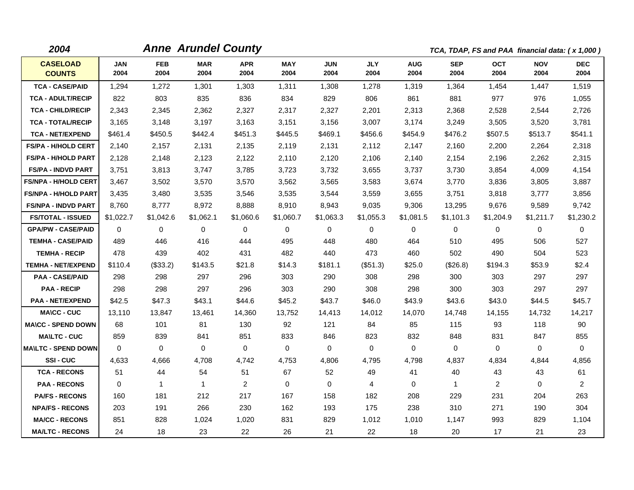| 2004                             |                    |                    | <b>Anne Arundel County</b> |                    |                    |                    |                    |                    | TCA, TDAP, FS and PAA financial data: (x 1,000) |                    |                    |                    |
|----------------------------------|--------------------|--------------------|----------------------------|--------------------|--------------------|--------------------|--------------------|--------------------|-------------------------------------------------|--------------------|--------------------|--------------------|
| <b>CASELOAD</b><br><b>COUNTS</b> | <b>JAN</b><br>2004 | <b>FEB</b><br>2004 | <b>MAR</b><br>2004         | <b>APR</b><br>2004 | <b>MAY</b><br>2004 | <b>JUN</b><br>2004 | <b>JLY</b><br>2004 | <b>AUG</b><br>2004 | <b>SEP</b><br>2004                              | <b>OCT</b><br>2004 | <b>NOV</b><br>2004 | <b>DEC</b><br>2004 |
| <b>TCA - CASE/PAID</b>           | 1,294              | 1,272              | 1,301                      | 1,303              | 1,311              | 1,308              | 1,278              | 1,319              | 1,364                                           | 1,454              | 1,447              | 1,519              |
| <b>TCA - ADULT/RECIP</b>         | 822                | 803                | 835                        | 836                | 834                | 829                | 806                | 861                | 881                                             | 977                | 976                | 1,055              |
| <b>TCA - CHILD/RECIP</b>         | 2,343              | 2,345              | 2,362                      | 2,327              | 2,317              | 2,327              | 2,201              | 2,313              | 2,368                                           | 2,528              | 2,544              | 2,726              |
| <b>TCA - TOTAL/RECIP</b>         | 3,165              | 3,148              | 3,197                      | 3,163              | 3,151              | 3,156              | 3,007              | 3,174              | 3,249                                           | 3,505              | 3,520              | 3,781              |
| <b>TCA - NET/EXPEND</b>          | \$461.4            | \$450.5            | \$442.4                    | \$451.3            | \$445.5            | \$469.1            | \$456.6            | \$454.9            | \$476.2                                         | \$507.5            | \$513.7            | \$541.1            |
| <b>FS/PA - H/HOLD CERT</b>       | 2,140              | 2,157              | 2,131                      | 2,135              | 2,119              | 2,131              | 2,112              | 2,147              | 2,160                                           | 2,200              | 2,264              | 2,318              |
| <b>FS/PA - H/HOLD PART</b>       | 2,128              | 2,148              | 2,123                      | 2,122              | 2,110              | 2,120              | 2,106              | 2,140              | 2,154                                           | 2,196              | 2,262              | 2,315              |
| <b>FS/PA - INDVD PART</b>        | 3,751              | 3,813              | 3.747                      | 3,785              | 3,723              | 3,732              | 3,655              | 3,737              | 3,730                                           | 3,854              | 4,009              | 4,154              |
| <b>FS/NPA - H/HOLD CERT</b>      | 3,467              | 3,502              | 3,570                      | 3,570              | 3,562              | 3,565              | 3,583              | 3,674              | 3,770                                           | 3,836              | 3,805              | 3,887              |
| <b>FS/NPA - H/HOLD PART</b>      | 3,435              | 3,480              | 3,535                      | 3,546              | 3,535              | 3,544              | 3,559              | 3,655              | 3,751                                           | 3,818              | 3,777              | 3,856              |
| <b>FS/NPA - INDVD PART</b>       | 8,760              | 8,777              | 8,972                      | 8,888              | 8,910              | 8,943              | 9,035              | 9,306              | 13,295                                          | 9,676              | 9,589              | 9,742              |
| <b>FS/TOTAL - ISSUED</b>         | \$1,022.7          | \$1,042.6          | \$1,062.1                  | \$1,060.6          | \$1,060.7          | \$1,063.3          | \$1,055.3          | \$1,081.5          | \$1,101.3                                       | \$1,204.9          | \$1,211.7          | \$1,230.2          |
| <b>GPA/PW - CASE/PAID</b>        | $\Omega$           | $\mathbf 0$        | $\Omega$                   | $\mathbf 0$        | 0                  | $\Omega$           | 0                  | $\mathbf 0$        | $\Omega$                                        | $\mathbf 0$        | $\Omega$           | 0                  |
| <b>TEMHA - CASE/PAID</b>         | 489                | 446                | 416                        | 444                | 495                | 448                | 480                | 464                | 510                                             | 495                | 506                | 527                |
| <b>TEMHA - RECIP</b>             | 478                | 439                | 402                        | 431                | 482                | 440                | 473                | 460                | 502                                             | 490                | 504                | 523                |
| <b>TEMHA - NET/EXPEND</b>        | \$110.4            | (\$33.2)           | \$143.5                    | \$21.8             | \$14.3             | \$181.1            | $(\$51.3)$         | \$25.0             | (\$26.8)                                        | \$194.3            | \$53.9             | \$2.4              |
| <b>PAA - CASE/PAID</b>           | 298                | 298                | 297                        | 296                | 303                | 290                | 308                | 298                | 300                                             | 303                | 297                | 297                |
| <b>PAA - RECIP</b>               | 298                | 298                | 297                        | 296                | 303                | 290                | 308                | 298                | 300                                             | 303                | 297                | 297                |
| <b>PAA - NET/EXPEND</b>          | \$42.5             | \$47.3             | \$43.1                     | \$44.6             | \$45.2             | \$43.7             | \$46.0             | \$43.9             | \$43.6                                          | \$43.0             | \$44.5             | \$45.7             |
| <b>MA\CC - CUC</b>               | 13,110             | 13,847             | 13,461                     | 14,360             | 13,752             | 14,413             | 14,012             | 14,070             | 14,748                                          | 14,155             | 14,732             | 14,217             |
| <b>MA\CC - SPEND DOWN</b>        | 68                 | 101                | 81                         | 130                | 92                 | 121                | 84                 | 85                 | 115                                             | 93                 | 118                | 90                 |
| <b>MA\LTC - CUC</b>              | 859                | 839                | 841                        | 851                | 833                | 846                | 823                | 832                | 848                                             | 831                | 847                | 855                |
| <b>MA\LTC - SPEND DOWN</b>       | $\Omega$           | $\mathbf 0$        | $\mathbf 0$                | $\mathbf 0$        | $\mathbf 0$        | 0                  | $\mathbf 0$        | $\mathbf 0$        | 0                                               | $\mathbf 0$        | 0                  | $\mathbf 0$        |
| <b>SSI-CUC</b>                   | 4,633              | 4,666              | 4,708                      | 4,742              | 4,753              | 4,806              | 4,795              | 4,798              | 4,837                                           | 4,834              | 4,844              | 4,856              |
| <b>TCA - RECONS</b>              | 51                 | 44                 | 54                         | 51                 | 67                 | 52                 | 49                 | 41                 | 40                                              | 43                 | 43                 | 61                 |
| <b>PAA - RECONS</b>              | $\Omega$           | $\mathbf{1}$       | $\mathbf{1}$               | 2                  | $\mathbf 0$        | $\Omega$           | $\overline{4}$     | $\mathbf 0$        | 1                                               | 2                  | $\Omega$           | $\overline{2}$     |
| <b>PA/FS - RECONS</b>            | 160                | 181                | 212                        | 217                | 167                | 158                | 182                | 208                | 229                                             | 231                | 204                | 263                |
| <b>NPA/FS - RECONS</b>           | 203                | 191                | 266                        | 230                | 162                | 193                | 175                | 238                | 310                                             | 271                | 190                | 304                |
| <b>MA/CC - RECONS</b>            | 851                | 828                | 1,024                      | 1,020              | 831                | 829                | 1,012              | 1,010              | 1,147                                           | 993                | 829                | 1,104              |
| <b>MA/LTC - RECONS</b>           | 24                 | 18                 | 23                         | 22                 | 26                 | 21                 | 22                 | 18                 | 20                                              | 17                 | 21                 | 23                 |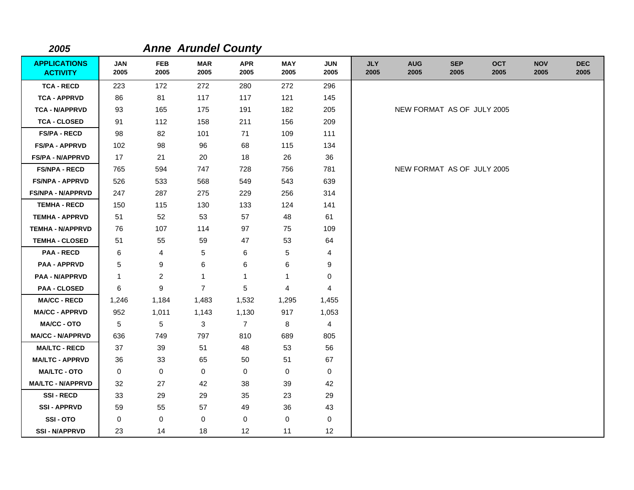| 2005                                   |                    |                    | <b>Anne Arundel County</b> |                    |                    |                    |                    |                            |                    |                    |                    |                    |
|----------------------------------------|--------------------|--------------------|----------------------------|--------------------|--------------------|--------------------|--------------------|----------------------------|--------------------|--------------------|--------------------|--------------------|
| <b>APPLICATIONS</b><br><b>ACTIVITY</b> | <b>JAN</b><br>2005 | <b>FEB</b><br>2005 | <b>MAR</b><br>2005         | <b>APR</b><br>2005 | <b>MAY</b><br>2005 | <b>JUN</b><br>2005 | <b>JLY</b><br>2005 | <b>AUG</b><br>2005         | <b>SEP</b><br>2005 | <b>OCT</b><br>2005 | <b>NOV</b><br>2005 | <b>DEC</b><br>2005 |
| <b>TCA - RECD</b>                      | 223                | 172                | 272                        | 280                | 272                | 296                |                    |                            |                    |                    |                    |                    |
| <b>TCA - APPRVD</b>                    | 86                 | 81                 | 117                        | 117                | 121                | 145                |                    |                            |                    |                    |                    |                    |
| <b>TCA - N/APPRVD</b>                  | 93                 | 165                | 175                        | 191                | 182                | 205                |                    | NEW FORMAT AS OF JULY 2005 |                    |                    |                    |                    |
| <b>TCA - CLOSED</b>                    | 91                 | 112                | 158                        | 211                | 156                | 209                |                    |                            |                    |                    |                    |                    |
| <b>FS/PA - RECD</b>                    | 98                 | 82                 | 101                        | 71                 | 109                | 111                |                    |                            |                    |                    |                    |                    |
| <b>FS/PA - APPRVD</b>                  | 102                | 98                 | 96                         | 68                 | 115                | 134                |                    |                            |                    |                    |                    |                    |
| <b>FS/PA - N/APPRVD</b>                | 17                 | 21                 | 20                         | 18                 | 26                 | 36                 |                    |                            |                    |                    |                    |                    |
| <b>FS/NPA - RECD</b>                   | 765                | 594                | 747                        | 728                | 756                | 781                |                    | NEW FORMAT AS OF JULY 2005 |                    |                    |                    |                    |
| <b>FS/NPA - APPRVD</b>                 | 526                | 533                | 568                        | 549                | 543                | 639                |                    |                            |                    |                    |                    |                    |
| <b>FS/NPA - N/APPRVD</b>               | 247                | 287                | 275                        | 229                | 256                | 314                |                    |                            |                    |                    |                    |                    |
| <b>TEMHA - RECD</b>                    | 150                | 115                | 130                        | 133                | 124                | 141                |                    |                            |                    |                    |                    |                    |
| <b>TEMHA - APPRVD</b>                  | 51                 | 52                 | 53                         | 57                 | 48                 | 61                 |                    |                            |                    |                    |                    |                    |
| <b>TEMHA - N/APPRVD</b>                | 76                 | 107                | 114                        | 97                 | 75                 | 109                |                    |                            |                    |                    |                    |                    |
| <b>TEMHA - CLOSED</b>                  | 51                 | 55                 | 59                         | 47                 | 53                 | 64                 |                    |                            |                    |                    |                    |                    |
| <b>PAA - RECD</b>                      | 6                  | 4                  | 5                          | 6                  | 5                  | 4                  |                    |                            |                    |                    |                    |                    |
| <b>PAA - APPRVD</b>                    | 5                  | 9                  | 6                          | 6                  | 6                  | 9                  |                    |                            |                    |                    |                    |                    |
| <b>PAA - N/APPRVD</b>                  | 1                  | $\overline{c}$     | 1                          | 1                  | 1                  | 0                  |                    |                            |                    |                    |                    |                    |
| <b>PAA - CLOSED</b>                    | 6                  | $\boldsymbol{9}$   | $\overline{7}$             | 5                  | 4                  | 4                  |                    |                            |                    |                    |                    |                    |
| <b>MA/CC - RECD</b>                    | 1,246              | 1,184              | 1,483                      | 1,532              | 1,295              | 1,455              |                    |                            |                    |                    |                    |                    |
| <b>MA/CC - APPRVD</b>                  | 952                | 1,011              | 1,143                      | 1,130              | 917                | 1,053              |                    |                            |                    |                    |                    |                    |
| MA/CC - OTO                            | 5                  | 5                  | 3                          | $\overline{7}$     | 8                  | $\overline{4}$     |                    |                            |                    |                    |                    |                    |
| <b>MA/CC - N/APPRVD</b>                | 636                | 749                | 797                        | 810                | 689                | 805                |                    |                            |                    |                    |                    |                    |
| <b>MA/LTC - RECD</b>                   | 37                 | 39                 | 51                         | 48                 | 53                 | 56                 |                    |                            |                    |                    |                    |                    |
| <b>MA/LTC - APPRVD</b>                 | 36                 | 33                 | 65                         | 50                 | 51                 | 67                 |                    |                            |                    |                    |                    |                    |
| <b>MA/LTC - OTO</b>                    | 0                  | $\mathbf 0$        | $\mathbf 0$                | 0                  | 0                  | 0                  |                    |                            |                    |                    |                    |                    |
| <b>MA/LTC - N/APPRVD</b>               | 32                 | 27                 | 42                         | 38                 | 39                 | 42                 |                    |                            |                    |                    |                    |                    |
| <b>SSI-RECD</b>                        | 33                 | 29                 | 29                         | 35                 | 23                 | 29                 |                    |                            |                    |                    |                    |                    |
| <b>SSI - APPRVD</b>                    | 59                 | 55                 | 57                         | 49                 | 36                 | 43                 |                    |                            |                    |                    |                    |                    |
| SSI-OTO                                | 0                  | $\mathbf 0$        | 0                          | 0                  | 0                  | 0                  |                    |                            |                    |                    |                    |                    |
| <b>SSI - N/APPRVD</b>                  | 23                 | 14                 | 18                         | 12                 | 11                 | 12                 |                    |                            |                    |                    |                    |                    |